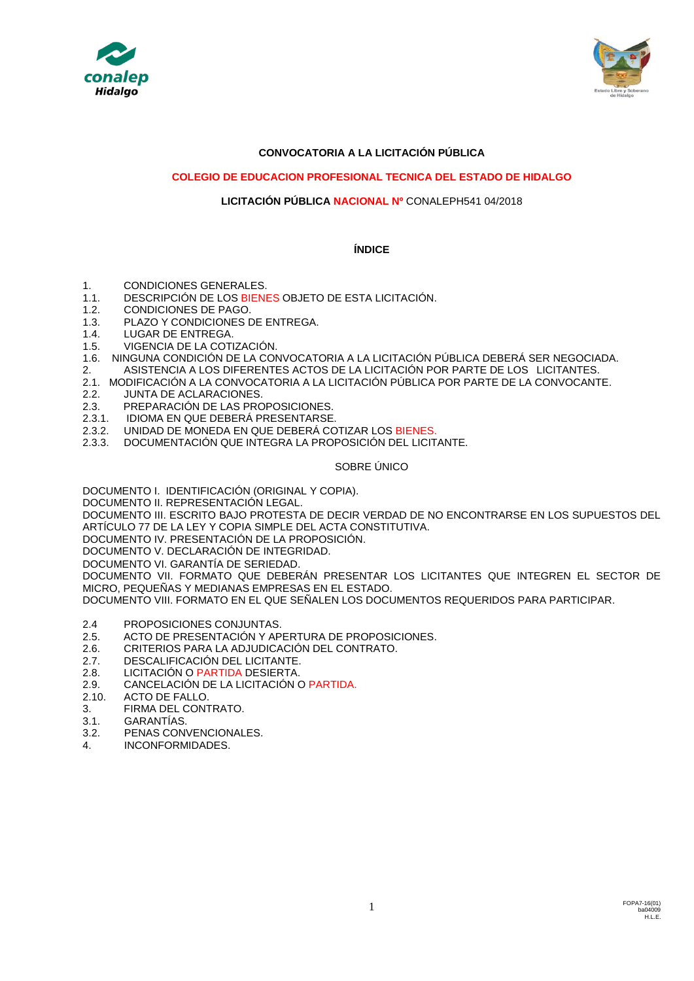



## **CONVOCATORIA A LA LICITACIÓN PÚBLICA**

### **COLEGIO DE EDUCACION PROFESIONAL TECNICA DEL ESTADO DE HIDALGO**

### **LICITACIÓN PÚBLICA NACIONAL Nº** CONALEPH541 04/2018

### **ÍNDICE**

- 1. CONDICIONES GENERALES.
- 1.1. DESCRIPCIÓN DE LOS BIENES OBJETO DE ESTA LICITACIÓN.
- 1.2. CONDICIONES DE PAGO.
- 1.3. PLAZO Y CONDICIONES DE ENTREGA.
- 1.4. LUGAR DE ENTREGA.
- 1.5. VIGENCIA DE LA COTIZACIÓN.
- 1.6. NINGUNA CONDICIÓN DE LA CONVOCATORIA A LA LICITACIÓN PÚBLICA DEBERÁ SER NEGOCIADA.
- 2. ASISTENCIA A LOS DIFERENTES ACTOS DE LA LICITACIÓN POR PARTE DE LOS LICITANTES.
- 2.1. MODIFICACIÓN A LA CONVOCATORIA A LA LICITACIÓN PÚBLICA POR PARTE DE LA CONVOCANTE.
- 2.2. JUNTA DE ACLARACIONES.
- 2.3. PREPARACIÓN DE LAS PROPOSICIONES.
- 2.3.1. IDIOMA EN QUE DEBERÁ PRESENTARSE.
- 2.3.2. UNIDAD DE MONEDA EN QUE DEBERÁ COTIZAR LOS BIENES.
- 2.3.3. DOCUMENTACIÓN QUE INTEGRA LA PROPOSICIÓN DEL LICITANTE.

#### SOBRE ÚNICO

DOCUMENTO I. IDENTIFICACIÓN (ORIGINAL Y COPIA).

DOCUMENTO II. REPRESENTACIÓN LEGAL.

DOCUMENTO III. ESCRITO BAJO PROTESTA DE DECIR VERDAD DE NO ENCONTRARSE EN LOS SUPUESTOS DEL ARTÍCULO 77 DE LA LEY Y COPIA SIMPLE DEL ACTA CONSTITUTIVA.

DOCUMENTO IV. PRESENTACIÓN DE LA PROPOSICIÓN.

DOCUMENTO V. DECLARACIÓN DE INTEGRIDAD.

DOCUMENTO VI. GARANTÍA DE SERIEDAD.

DOCUMENTO VII. FORMATO QUE DEBERÁN PRESENTAR LOS LICITANTES QUE INTEGREN EL SECTOR DE MICRO, PEQUEÑAS Y MEDIANAS EMPRESAS EN EL ESTADO.

DOCUMENTO VIII. FORMATO EN EL QUE SEÑALEN LOS DOCUMENTOS REQUERIDOS PARA PARTICIPAR.

- 2.4 PROPOSICIONES CONJUNTAS.
- 2.5. ACTO DE PRESENTACIÓN Y APERTURA DE PROPOSICIONES.
- 2.6. CRITERIOS PARA LA ADJUDICACIÓN DEL CONTRATO.
- 2.7. DESCALIFICACIÓN DEL LICITANTE.
- 2.8. LICITACIÓN O PARTIDA DESIERTA.<br>2.9. CANCELACIÓN DE LA LICITACIÓN (
- 2.9. CANCELACIÓN DE LA LICITACIÓN O PARTIDA.
- 2.10. ACTO DE FALLO.
- 3. FIRMA DEL CONTRATO.
- 3.1. GARANTÍAS.
- 3.2. PENAS CONVENCIONALES.
- 4. INCONFORMIDADES.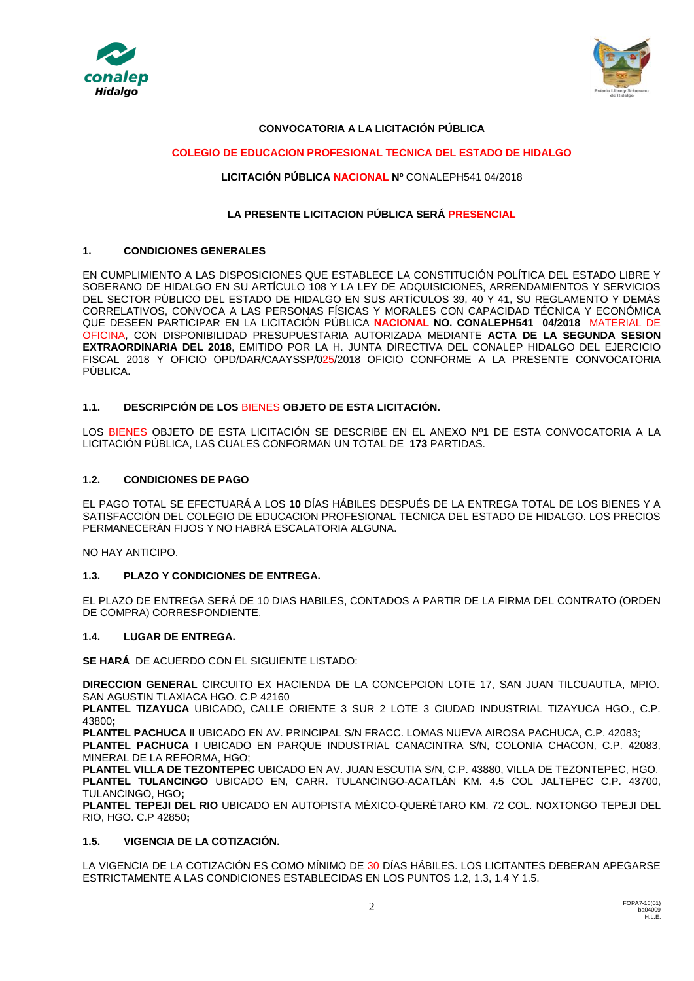



### **CONVOCATORIA A LA LICITACIÓN PÚBLICA**

### **COLEGIO DE EDUCACION PROFESIONAL TECNICA DEL ESTADO DE HIDALGO**

### **LICITACIÓN PÚBLICA NACIONAL Nº** CONALEPH541 04/2018

### **LA PRESENTE LICITACION PÚBLICA SERÁ PRESENCIAL**

## **1. CONDICIONES GENERALES**

EN CUMPLIMIENTO A LAS DISPOSICIONES QUE ESTABLECE LA CONSTITUCIÓN POLÍTICA DEL ESTADO LIBRE Y SOBERANO DE HIDALGO EN SU ARTÍCULO 108 Y LA LEY DE ADQUISICIONES, ARRENDAMIENTOS Y SERVICIOS DEL SECTOR PÚBLICO DEL ESTADO DE HIDALGO EN SUS ARTÍCULOS 39, 40 Y 41, SU REGLAMENTO Y DEMÁS CORRELATIVOS, CONVOCA A LAS PERSONAS FÍSICAS Y MORALES CON CAPACIDAD TÉCNICA Y ECONÓMICA QUE DESEEN PARTICIPAR EN LA LICITACIÓN PÚBLICA **NACIONAL NO. CONALEPH541 04/2018** MATERIAL DE OFICINA, CON DISPONIBILIDAD PRESUPUESTARIA AUTORIZADA MEDIANTE **ACTA DE LA SEGUNDA SESION EXTRAORDINARIA DEL 2018**, EMITIDO POR LA H. JUNTA DIRECTIVA DEL CONALEP HIDALGO DEL EJERCICIO FISCAL 2018 Y OFICIO OPD/DAR/CAAYSSP/025/2018 OFICIO CONFORME A LA PRESENTE CONVOCATORIA PÚBLICA.

#### **1.1. DESCRIPCIÓN DE LOS** BIENES **OBJETO DE ESTA LICITACIÓN.**

LOS BIENES OBJETO DE ESTA LICITACIÓN SE DESCRIBE EN EL ANEXO Nº1 DE ESTA CONVOCATORIA A LA LICITACIÓN PÚBLICA, LAS CUALES CONFORMAN UN TOTAL DE **173** PARTIDAS.

#### **1.2. CONDICIONES DE PAGO**

EL PAGO TOTAL SE EFECTUARÁ A LOS **10** DÍAS HÁBILES DESPUÉS DE LA ENTREGA TOTAL DE LOS BIENES Y A SATISFACCIÓN DEL COLEGIO DE EDUCACION PROFESIONAL TECNICA DEL ESTADO DE HIDALGO. LOS PRECIOS PERMANECERÁN FIJOS Y NO HABRÁ ESCALATORIA ALGUNA.

NO HAY ANTICIPO.

### **1.3. PLAZO Y CONDICIONES DE ENTREGA.**

EL PLAZO DE ENTREGA SERÁ DE 10 DIAS HABILES, CONTADOS A PARTIR DE LA FIRMA DEL CONTRATO (ORDEN DE COMPRA) CORRESPONDIENTE.

#### **1.4. LUGAR DE ENTREGA.**

**SE HARÁ** DE ACUERDO CON EL SIGUIENTE LISTADO:

**DIRECCION GENERAL** CIRCUITO EX HACIENDA DE LA CONCEPCION LOTE 17, SAN JUAN TILCUAUTLA, MPIO. SAN AGUSTIN TLAXIACA HGO. C.P 42160

**PLANTEL TIZAYUCA** UBICADO, CALLE ORIENTE 3 SUR 2 LOTE 3 CIUDAD INDUSTRIAL TIZAYUCA HGO., C.P. 43800**;** 

**PLANTEL PACHUCA II** UBICADO EN AV. PRINCIPAL S/N FRACC. LOMAS NUEVA AIROSA PACHUCA, C.P. 42083; **PLANTEL PACHUCA I** UBICADO EN PARQUE INDUSTRIAL CANACINTRA S/N, COLONIA CHACON, C.P. 42083, MINERAL DE LA REFORMA, HGO;

**PLANTEL VILLA DE TEZONTEPEC** UBICADO EN AV. JUAN ESCUTIA S/N, C.P. 43880, VILLA DE TEZONTEPEC, HGO. **PLANTEL TULANCINGO** UBICADO EN, CARR. TULANCINGO-ACATLÁN KM. 4.5 COL JALTEPEC C.P. 43700, TULANCINGO, HGO**;**

**PLANTEL TEPEJI DEL RIO** UBICADO EN AUTOPISTA MÉXICO-QUERÉTARO KM. 72 COL. NOXTONGO TEPEJI DEL RIO, HGO. C.P 42850**;**

### **1.5. VIGENCIA DE LA COTIZACIÓN.**

LA VIGENCIA DE LA COTIZACIÓN ES COMO MÍNIMO DE 30 DÍAS HÁBILES. LOS LICITANTES DEBERAN APEGARSE ESTRICTAMENTE A LAS CONDICIONES ESTABLECIDAS EN LOS PUNTOS 1.2, 1.3, 1.4 Y 1.5.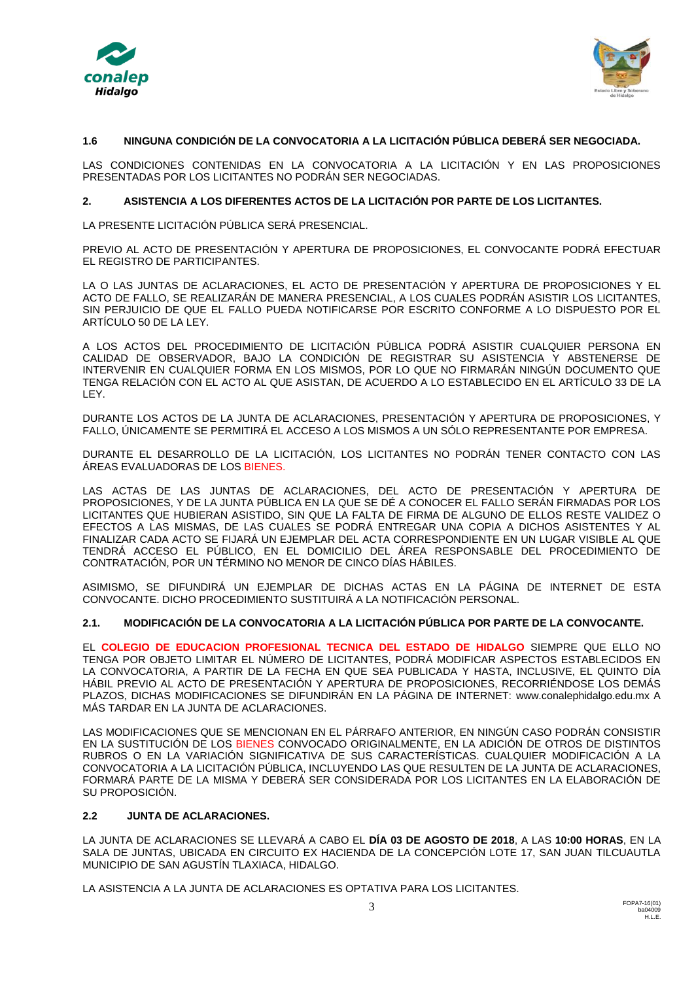



## **1.6 NINGUNA CONDICIÓN DE LA CONVOCATORIA A LA LICITACIÓN PÚBLICA DEBERÁ SER NEGOCIADA.**

LAS CONDICIONES CONTENIDAS EN LA CONVOCATORIA A LA LICITACIÓN Y EN LAS PROPOSICIONES PRESENTADAS POR LOS LICITANTES NO PODRÁN SER NEGOCIADAS.

#### **2. ASISTENCIA A LOS DIFERENTES ACTOS DE LA LICITACIÓN POR PARTE DE LOS LICITANTES.**

LA PRESENTE LICITACIÓN PÚBLICA SERÁ PRESENCIAL.

PREVIO AL ACTO DE PRESENTACIÓN Y APERTURA DE PROPOSICIONES, EL CONVOCANTE PODRÁ EFECTUAR EL REGISTRO DE PARTICIPANTES.

LA O LAS JUNTAS DE ACLARACIONES, EL ACTO DE PRESENTACIÓN Y APERTURA DE PROPOSICIONES Y EL ACTO DE FALLO, SE REALIZARÁN DE MANERA PRESENCIAL, A LOS CUALES PODRÁN ASISTIR LOS LICITANTES, SIN PERJUICIO DE QUE EL FALLO PUEDA NOTIFICARSE POR ESCRITO CONFORME A LO DISPUESTO POR EL ARTÍCULO 50 DE LA LEY.

A LOS ACTOS DEL PROCEDIMIENTO DE LICITACIÓN PÚBLICA PODRÁ ASISTIR CUALQUIER PERSONA EN CALIDAD DE OBSERVADOR, BAJO LA CONDICIÓN DE REGISTRAR SU ASISTENCIA Y ABSTENERSE DE INTERVENIR EN CUALQUIER FORMA EN LOS MISMOS, POR LO QUE NO FIRMARÁN NINGÚN DOCUMENTO QUE TENGA RELACIÓN CON EL ACTO AL QUE ASISTAN, DE ACUERDO A LO ESTABLECIDO EN EL ARTÍCULO 33 DE LA LEY.

DURANTE LOS ACTOS DE LA JUNTA DE ACLARACIONES, PRESENTACIÓN Y APERTURA DE PROPOSICIONES, Y FALLO, ÚNICAMENTE SE PERMITIRÁ EL ACCESO A LOS MISMOS A UN SÓLO REPRESENTANTE POR EMPRESA.

DURANTE EL DESARROLLO DE LA LICITACIÓN, LOS LICITANTES NO PODRÁN TENER CONTACTO CON LAS ÁREAS EVALUADORAS DE LOS BIENES.

LAS ACTAS DE LAS JUNTAS DE ACLARACIONES, DEL ACTO DE PRESENTACIÓN Y APERTURA DE PROPOSICIONES, Y DE LA JUNTA PÚBLICA EN LA QUE SE DÉ A CONOCER EL FALLO SERÁN FIRMADAS POR LOS LICITANTES QUE HUBIERAN ASISTIDO, SIN QUE LA FALTA DE FIRMA DE ALGUNO DE ELLOS RESTE VALIDEZ O EFECTOS A LAS MISMAS, DE LAS CUALES SE PODRÁ ENTREGAR UNA COPIA A DICHOS ASISTENTES Y AL FINALIZAR CADA ACTO SE FIJARÁ UN EJEMPLAR DEL ACTA CORRESPONDIENTE EN UN LUGAR VISIBLE AL QUE TENDRÁ ACCESO EL PÚBLICO, EN EL DOMICILIO DEL ÁREA RESPONSABLE DEL PROCEDIMIENTO DE CONTRATACIÓN, POR UN TÉRMINO NO MENOR DE CINCO DÍAS HÁBILES.

ASIMISMO, SE DIFUNDIRÁ UN EJEMPLAR DE DICHAS ACTAS EN LA PÁGINA DE INTERNET DE ESTA CONVOCANTE. DICHO PROCEDIMIENTO SUSTITUIRÁ A LA NOTIFICACIÓN PERSONAL.

#### **2.1. MODIFICACIÓN DE LA CONVOCATORIA A LA LICITACIÓN PÚBLICA POR PARTE DE LA CONVOCANTE.**

EL **COLEGIO DE EDUCACION PROFESIONAL TECNICA DEL ESTADO DE HIDALGO** SIEMPRE QUE ELLO NO TENGA POR OBJETO LIMITAR EL NÚMERO DE LICITANTES, PODRÁ MODIFICAR ASPECTOS ESTABLECIDOS EN LA CONVOCATORIA, A PARTIR DE LA FECHA EN QUE SEA PUBLICADA Y HASTA, INCLUSIVE, EL QUINTO DÍA HÁBIL PREVIO AL ACTO DE PRESENTACIÓN Y APERTURA DE PROPOSICIONES, RECORRIÉNDOSE LOS DEMÁS PLAZOS, DICHAS MODIFICACIONES SE DIFUNDIRÁN EN LA PÁGINA DE INTERNET: www.conalephidalgo.edu.mx A MÁS TARDAR EN LA JUNTA DE ACLARACIONES.

LAS MODIFICACIONES QUE SE MENCIONAN EN EL PÁRRAFO ANTERIOR, EN NINGÚN CASO PODRÁN CONSISTIR EN LA SUSTITUCIÓN DE LOS BIENES CONVOCADO ORIGINALMENTE, EN LA ADICIÓN DE OTROS DE DISTINTOS RUBROS O EN LA VARIACIÓN SIGNIFICATIVA DE SUS CARACTERÍSTICAS. CUALQUIER MODIFICACIÓN A LA CONVOCATORIA A LA LICITACIÓN PÚBLICA, INCLUYENDO LAS QUE RESULTEN DE LA JUNTA DE ACLARACIONES, FORMARÁ PARTE DE LA MISMA Y DEBERÁ SER CONSIDERADA POR LOS LICITANTES EN LA ELABORACIÓN DE SU PROPOSICIÓN.

#### **2.2 JUNTA DE ACLARACIONES.**

LA JUNTA DE ACLARACIONES SE LLEVARÁ A CABO EL **DÍA 03 DE AGOSTO DE 2018**, A LAS **10:00 HORAS**, EN LA SALA DE JUNTAS, UBICADA EN CIRCUITO EX HACIENDA DE LA CONCEPCIÓN LOTE 17, SAN JUAN TILCUAUTLA MUNICIPIO DE SAN AGUSTÍN TLAXIACA, HIDALGO.

LA ASISTENCIA A LA JUNTA DE ACLARACIONES ES OPTATIVA PARA LOS LICITANTES.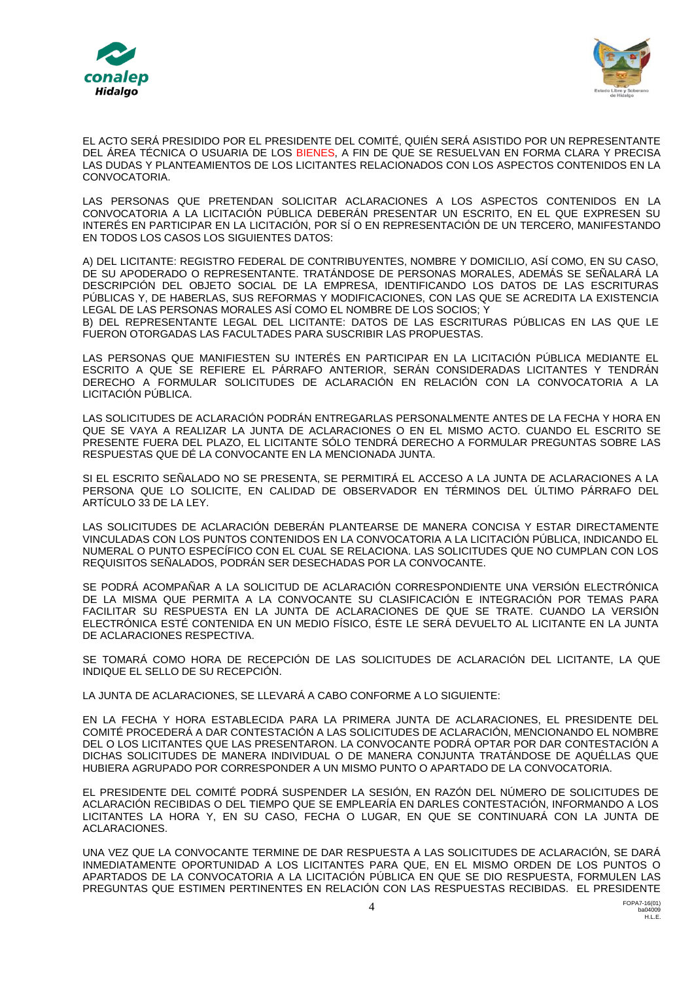



EL ACTO SERÁ PRESIDIDO POR EL PRESIDENTE DEL COMITÉ, QUIÉN SERÁ ASISTIDO POR UN REPRESENTANTE DEL ÁREA TÉCNICA O USUARIA DE LOS BIENES, A FIN DE QUE SE RESUELVAN EN FORMA CLARA Y PRECISA LAS DUDAS Y PLANTEAMIENTOS DE LOS LICITANTES RELACIONADOS CON LOS ASPECTOS CONTENIDOS EN LA CONVOCATORIA.

LAS PERSONAS QUE PRETENDAN SOLICITAR ACLARACIONES A LOS ASPECTOS CONTENIDOS EN LA CONVOCATORIA A LA LICITACIÓN PÚBLICA DEBERÁN PRESENTAR UN ESCRITO, EN EL QUE EXPRESEN SU INTERÉS EN PARTICIPAR EN LA LICITACIÓN, POR SÍ O EN REPRESENTACIÓN DE UN TERCERO, MANIFESTANDO EN TODOS LOS CASOS LOS SIGUIENTES DATOS:

A) DEL LICITANTE: REGISTRO FEDERAL DE CONTRIBUYENTES, NOMBRE Y DOMICILIO, ASÍ COMO, EN SU CASO, DE SU APODERADO O REPRESENTANTE. TRATÁNDOSE DE PERSONAS MORALES, ADEMÁS SE SEÑALARÁ LA DESCRIPCIÓN DEL OBJETO SOCIAL DE LA EMPRESA, IDENTIFICANDO LOS DATOS DE LAS ESCRITURAS PÚBLICAS Y, DE HABERLAS, SUS REFORMAS Y MODIFICACIONES, CON LAS QUE SE ACREDITA LA EXISTENCIA LEGAL DE LAS PERSONAS MORALES ASÍ COMO EL NOMBRE DE LOS SOCIOS; Y B) DEL REPRESENTANTE LEGAL DEL LICITANTE: DATOS DE LAS ESCRITURAS PÚBLICAS EN LAS QUE LE FUERON OTORGADAS LAS FACULTADES PARA SUSCRIBIR LAS PROPUESTAS.

LAS PERSONAS QUE MANIFIESTEN SU INTERÉS EN PARTICIPAR EN LA LICITACIÓN PÚBLICA MEDIANTE EL ESCRITO A QUE SE REFIERE EL PÁRRAFO ANTERIOR, SERÁN CONSIDERADAS LICITANTES Y TENDRÁN DERECHO A FORMULAR SOLICITUDES DE ACLARACIÓN EN RELACIÓN CON LA CONVOCATORIA A LA LICITACIÓN PÚBLICA.

LAS SOLICITUDES DE ACLARACIÓN PODRÁN ENTREGARLAS PERSONALMENTE ANTES DE LA FECHA Y HORA EN QUE SE VAYA A REALIZAR LA JUNTA DE ACLARACIONES O EN EL MISMO ACTO. CUANDO EL ESCRITO SE PRESENTE FUERA DEL PLAZO, EL LICITANTE SÓLO TENDRÁ DERECHO A FORMULAR PREGUNTAS SOBRE LAS RESPUESTAS QUE DÉ LA CONVOCANTE EN LA MENCIONADA JUNTA.

SI EL ESCRITO SEÑALADO NO SE PRESENTA, SE PERMITIRÁ EL ACCESO A LA JUNTA DE ACLARACIONES A LA PERSONA QUE LO SOLICITE, EN CALIDAD DE OBSERVADOR EN TÉRMINOS DEL ÚLTIMO PÁRRAFO DEL ARTÍCULO 33 DE LA LEY.

LAS SOLICITUDES DE ACLARACIÓN DEBERÁN PLANTEARSE DE MANERA CONCISA Y ESTAR DIRECTAMENTE VINCULADAS CON LOS PUNTOS CONTENIDOS EN LA CONVOCATORIA A LA LICITACIÓN PÚBLICA, INDICANDO EL NUMERAL O PUNTO ESPECÍFICO CON EL CUAL SE RELACIONA. LAS SOLICITUDES QUE NO CUMPLAN CON LOS REQUISITOS SEÑALADOS, PODRÁN SER DESECHADAS POR LA CONVOCANTE.

SE PODRÁ ACOMPAÑAR A LA SOLICITUD DE ACLARACIÓN CORRESPONDIENTE UNA VERSIÓN ELECTRÓNICA DE LA MISMA QUE PERMITA A LA CONVOCANTE SU CLASIFICACIÓN E INTEGRACIÓN POR TEMAS PARA FACILITAR SU RESPUESTA EN LA JUNTA DE ACLARACIONES DE QUE SE TRATE. CUANDO LA VERSIÓN ELECTRÓNICA ESTÉ CONTENIDA EN UN MEDIO FÍSICO, ÉSTE LE SERÁ DEVUELTO AL LICITANTE EN LA JUNTA DE ACLARACIONES RESPECTIVA.

SE TOMARÁ COMO HORA DE RECEPCIÓN DE LAS SOLICITUDES DE ACLARACIÓN DEL LICITANTE, LA QUE INDIQUE EL SELLO DE SU RECEPCIÓN.

LA JUNTA DE ACLARACIONES, SE LLEVARÁ A CABO CONFORME A LO SIGUIENTE:

EN LA FECHA Y HORA ESTABLECIDA PARA LA PRIMERA JUNTA DE ACLARACIONES, EL PRESIDENTE DEL COMITÉ PROCEDERÁ A DAR CONTESTACIÓN A LAS SOLICITUDES DE ACLARACIÓN, MENCIONANDO EL NOMBRE DEL O LOS LICITANTES QUE LAS PRESENTARON. LA CONVOCANTE PODRÁ OPTAR POR DAR CONTESTACIÓN A DICHAS SOLICITUDES DE MANERA INDIVIDUAL O DE MANERA CONJUNTA TRATÁNDOSE DE AQUÉLLAS QUE HUBIERA AGRUPADO POR CORRESPONDER A UN MISMO PUNTO O APARTADO DE LA CONVOCATORIA.

EL PRESIDENTE DEL COMITÉ PODRÁ SUSPENDER LA SESIÓN, EN RAZÓN DEL NÚMERO DE SOLICITUDES DE ACLARACIÓN RECIBIDAS O DEL TIEMPO QUE SE EMPLEARÍA EN DARLES CONTESTACIÓN, INFORMANDO A LOS LICITANTES LA HORA Y, EN SU CASO, FECHA O LUGAR, EN QUE SE CONTINUARÁ CON LA JUNTA DE ACLARACIONES.

UNA VEZ QUE LA CONVOCANTE TERMINE DE DAR RESPUESTA A LAS SOLICITUDES DE ACLARACIÓN, SE DARÁ INMEDIATAMENTE OPORTUNIDAD A LOS LICITANTES PARA QUE, EN EL MISMO ORDEN DE LOS PUNTOS O APARTADOS DE LA CONVOCATORIA A LA LICITACIÓN PÚBLICA EN QUE SE DIO RESPUESTA, FORMULEN LAS PREGUNTAS QUE ESTIMEN PERTINENTES EN RELACIÓN CON LAS RESPUESTAS RECIBIDAS. EL PRESIDENTE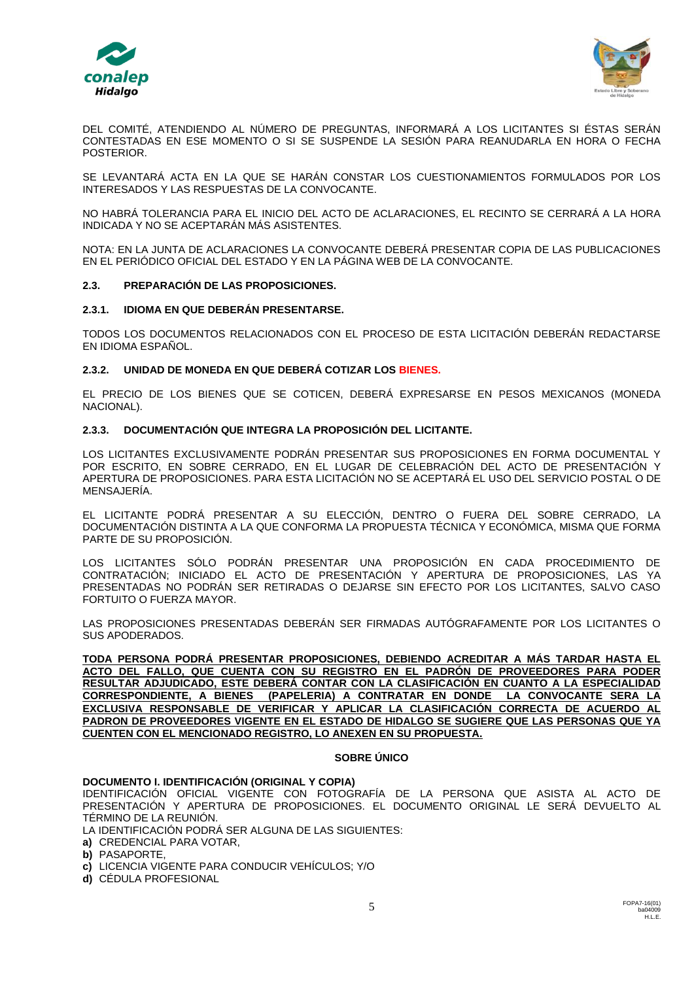



DEL COMITÉ, ATENDIENDO AL NÚMERO DE PREGUNTAS, INFORMARÁ A LOS LICITANTES SI ÉSTAS SERÁN CONTESTADAS EN ESE MOMENTO O SI SE SUSPENDE LA SESIÓN PARA REANUDARLA EN HORA O FECHA POSTERIOR.

SE LEVANTARÁ ACTA EN LA QUE SE HARÁN CONSTAR LOS CUESTIONAMIENTOS FORMULADOS POR LOS INTERESADOS Y LAS RESPUESTAS DE LA CONVOCANTE.

NO HABRÁ TOLERANCIA PARA EL INICIO DEL ACTO DE ACLARACIONES, EL RECINTO SE CERRARÁ A LA HORA INDICADA Y NO SE ACEPTARÁN MÁS ASISTENTES.

NOTA: EN LA JUNTA DE ACLARACIONES LA CONVOCANTE DEBERÁ PRESENTAR COPIA DE LAS PUBLICACIONES EN EL PERIÓDICO OFICIAL DEL ESTADO Y EN LA PÁGINA WEB DE LA CONVOCANTE.

#### **2.3. PREPARACIÓN DE LAS PROPOSICIONES.**

#### **2.3.1. IDIOMA EN QUE DEBERÁN PRESENTARSE.**

TODOS LOS DOCUMENTOS RELACIONADOS CON EL PROCESO DE ESTA LICITACIÓN DEBERÁN REDACTARSE EN IDIOMA ESPAÑOL.

#### **2.3.2. UNIDAD DE MONEDA EN QUE DEBERÁ COTIZAR LOS BIENES.**

EL PRECIO DE LOS BIENES QUE SE COTICEN, DEBERÁ EXPRESARSE EN PESOS MEXICANOS (MONEDA NACIONAL).

#### **2.3.3. DOCUMENTACIÓN QUE INTEGRA LA PROPOSICIÓN DEL LICITANTE.**

LOS LICITANTES EXCLUSIVAMENTE PODRÁN PRESENTAR SUS PROPOSICIONES EN FORMA DOCUMENTAL Y POR ESCRITO, EN SOBRE CERRADO, EN EL LUGAR DE CELEBRACIÓN DEL ACTO DE PRESENTACIÓN Y APERTURA DE PROPOSICIONES. PARA ESTA LICITACIÓN NO SE ACEPTARÁ EL USO DEL SERVICIO POSTAL O DE MENSAJERÍA.

EL LICITANTE PODRÁ PRESENTAR A SU ELECCIÓN, DENTRO O FUERA DEL SOBRE CERRADO, LA DOCUMENTACIÓN DISTINTA A LA QUE CONFORMA LA PROPUESTA TÉCNICA Y ECONÓMICA, MISMA QUE FORMA PARTE DE SU PROPOSICIÓN.

LOS LICITANTES SÓLO PODRÁN PRESENTAR UNA PROPOSICIÓN EN CADA PROCEDIMIENTO DE CONTRATACIÓN; INICIADO EL ACTO DE PRESENTACIÓN Y APERTURA DE PROPOSICIONES, LAS YA PRESENTADAS NO PODRÁN SER RETIRADAS O DEJARSE SIN EFECTO POR LOS LICITANTES, SALVO CASO FORTUITO O FUERZA MAYOR.

LAS PROPOSICIONES PRESENTADAS DEBERÁN SER FIRMADAS AUTÓGRAFAMENTE POR LOS LICITANTES O SUS APODERADOS.

**TODA PERSONA PODRÁ PRESENTAR PROPOSICIONES, DEBIENDO ACREDITAR A MÁS TARDAR HASTA EL ACTO DEL FALLO, QUE CUENTA CON SU REGISTRO EN EL PADRÓN DE PROVEEDORES PARA PODER RESULTAR ADJUDICADO, ESTE DEBERÁ CONTAR CON LA CLASIFICACIÓN EN CUANTO A LA ESPECIALIDAD CORRESPONDIENTE, A BIENES (PAPELERIA) A CONTRATAR EN DONDE LA CONVOCANTE SERA LA EXCLUSIVA RESPONSABLE DE VERIFICAR Y APLICAR LA CLASIFICACIÓN CORRECTA DE ACUERDO AL PADRON DE PROVEEDORES VIGENTE EN EL ESTADO DE HIDALGO SE SUGIERE QUE LAS PERSONAS QUE YA CUENTEN CON EL MENCIONADO REGISTRO, LO ANEXEN EN SU PROPUESTA.**

#### **SOBRE ÚNICO**

#### **DOCUMENTO I. IDENTIFICACIÓN (ORIGINAL Y COPIA)**

IDENTIFICACIÓN OFICIAL VIGENTE CON FOTOGRAFÍA DE LA PERSONA QUE ASISTA AL ACTO DE PRESENTACIÓN Y APERTURA DE PROPOSICIONES. EL DOCUMENTO ORIGINAL LE SERÁ DEVUELTO AL TÉRMINO DE LA REUNIÓN.

LA IDENTIFICACIÓN PODRÁ SER ALGUNA DE LAS SIGUIENTES:

**a)** CREDENCIAL PARA VOTAR,

**b)** PASAPORTE,

**c)** LICENCIA VIGENTE PARA CONDUCIR VEHÍCULOS; Y/O

**d)** CÉDULA PROFESIONAL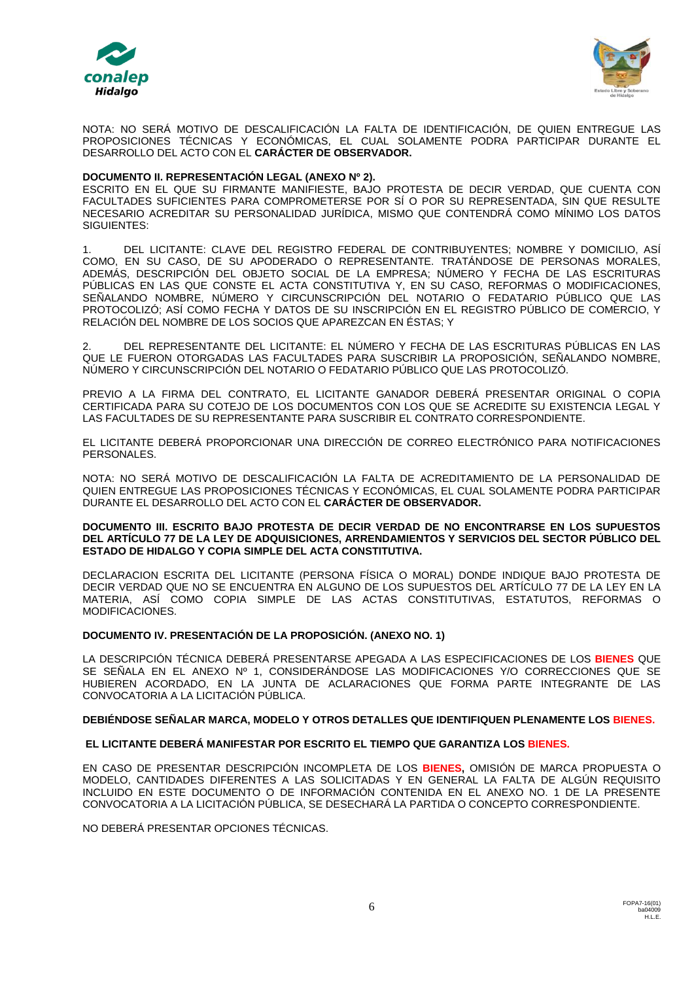



NOTA: NO SERÁ MOTIVO DE DESCALIFICACIÓN LA FALTA DE IDENTIFICACIÓN, DE QUIEN ENTREGUE LAS PROPOSICIONES TÉCNICAS Y ECONÓMICAS, EL CUAL SOLAMENTE PODRA PARTICIPAR DURANTE EL DESARROLLO DEL ACTO CON EL **CARÁCTER DE OBSERVADOR.**

#### **DOCUMENTO II. REPRESENTACIÓN LEGAL (ANEXO Nº 2).**

ESCRITO EN EL QUE SU FIRMANTE MANIFIESTE, BAJO PROTESTA DE DECIR VERDAD, QUE CUENTA CON FACULTADES SUFICIENTES PARA COMPROMETERSE POR SÍ O POR SU REPRESENTADA, SIN QUE RESULTE NECESARIO ACREDITAR SU PERSONALIDAD JURÍDICA, MISMO QUE CONTENDRÁ COMO MÍNIMO LOS DATOS SIGUIENTES:

1. DEL LICITANTE: CLAVE DEL REGISTRO FEDERAL DE CONTRIBUYENTES; NOMBRE Y DOMICILIO, ASÍ COMO, EN SU CASO, DE SU APODERADO O REPRESENTANTE. TRATÁNDOSE DE PERSONAS MORALES, ADEMÁS, DESCRIPCIÓN DEL OBJETO SOCIAL DE LA EMPRESA; NÚMERO Y FECHA DE LAS ESCRITURAS PÚBLICAS EN LAS QUE CONSTE EL ACTA CONSTITUTIVA Y, EN SU CASO, REFORMAS O MODIFICACIONES, SEÑALANDO NOMBRE, NÚMERO Y CIRCUNSCRIPCIÓN DEL NOTARIO O FEDATARIO PÚBLICO QUE LAS PROTOCOLIZÓ; ASÍ COMO FECHA Y DATOS DE SU INSCRIPCIÓN EN EL REGISTRO PÚBLICO DE COMERCIO, Y RELACIÓN DEL NOMBRE DE LOS SOCIOS QUE APAREZCAN EN ÉSTAS; Y

2. DEL REPRESENTANTE DEL LICITANTE: EL NÚMERO Y FECHA DE LAS ESCRITURAS PÚBLICAS EN LAS QUE LE FUERON OTORGADAS LAS FACULTADES PARA SUSCRIBIR LA PROPOSICIÓN, SEÑALANDO NOMBRE, NÚMERO Y CIRCUNSCRIPCIÓN DEL NOTARIO O FEDATARIO PÚBLICO QUE LAS PROTOCOLIZÓ.

PREVIO A LA FIRMA DEL CONTRATO, EL LICITANTE GANADOR DEBERÁ PRESENTAR ORIGINAL O COPIA CERTIFICADA PARA SU COTEJO DE LOS DOCUMENTOS CON LOS QUE SE ACREDITE SU EXISTENCIA LEGAL Y LAS FACULTADES DE SU REPRESENTANTE PARA SUSCRIBIR EL CONTRATO CORRESPONDIENTE.

EL LICITANTE DEBERÁ PROPORCIONAR UNA DIRECCIÓN DE CORREO ELECTRÓNICO PARA NOTIFICACIONES PERSONALES.

NOTA: NO SERÁ MOTIVO DE DESCALIFICACIÓN LA FALTA DE ACREDITAMIENTO DE LA PERSONALIDAD DE QUIEN ENTREGUE LAS PROPOSICIONES TÉCNICAS Y ECONÓMICAS, EL CUAL SOLAMENTE PODRA PARTICIPAR DURANTE EL DESARROLLO DEL ACTO CON EL **CARÁCTER DE OBSERVADOR.**

#### **DOCUMENTO III. ESCRITO BAJO PROTESTA DE DECIR VERDAD DE NO ENCONTRARSE EN LOS SUPUESTOS DEL ARTÍCULO 77 DE LA LEY DE ADQUISICIONES, ARRENDAMIENTOS Y SERVICIOS DEL SECTOR PÚBLICO DEL ESTADO DE HIDALGO Y COPIA SIMPLE DEL ACTA CONSTITUTIVA.**

DECLARACION ESCRITA DEL LICITANTE (PERSONA FÍSICA O MORAL) DONDE INDIQUE BAJO PROTESTA DE DECIR VERDAD QUE NO SE ENCUENTRA EN ALGUNO DE LOS SUPUESTOS DEL ARTÍCULO 77 DE LA LEY EN LA MATERIA, ASÍ COMO COPIA SIMPLE DE LAS ACTAS CONSTITUTIVAS, ESTATUTOS, REFORMAS O MODIFICACIONES.

### **DOCUMENTO IV. PRESENTACIÓN DE LA PROPOSICIÓN. (ANEXO NO. 1)**

LA DESCRIPCIÓN TÉCNICA DEBERÁ PRESENTARSE APEGADA A LAS ESPECIFICACIONES DE LOS **BIENES** QUE SE SEÑALA EN EL ANEXO Nº 1, CONSIDERÁNDOSE LAS MODIFICACIONES Y/O CORRECCIONES QUE SE HUBIEREN ACORDADO, EN LA JUNTA DE ACLARACIONES QUE FORMA PARTE INTEGRANTE DE LAS CONVOCATORIA A LA LICITACIÓN PÚBLICA.

#### **DEBIÉNDOSE SEÑALAR MARCA, MODELO Y OTROS DETALLES QUE IDENTIFIQUEN PLENAMENTE LOS BIENES.**

### **EL LICITANTE DEBERÁ MANIFESTAR POR ESCRITO EL TIEMPO QUE GARANTIZA LOS BIENES.**

EN CASO DE PRESENTAR DESCRIPCIÓN INCOMPLETA DE LOS **BIENES,** OMISIÓN DE MARCA PROPUESTA O MODELO, CANTIDADES DIFERENTES A LAS SOLICITADAS Y EN GENERAL LA FALTA DE ALGÚN REQUISITO INCLUIDO EN ESTE DOCUMENTO O DE INFORMACIÓN CONTENIDA EN EL ANEXO NO. 1 DE LA PRESENTE CONVOCATORIA A LA LICITACIÓN PÚBLICA, SE DESECHARÁ LA PARTIDA O CONCEPTO CORRESPONDIENTE.

NO DEBERÁ PRESENTAR OPCIONES TÉCNICAS.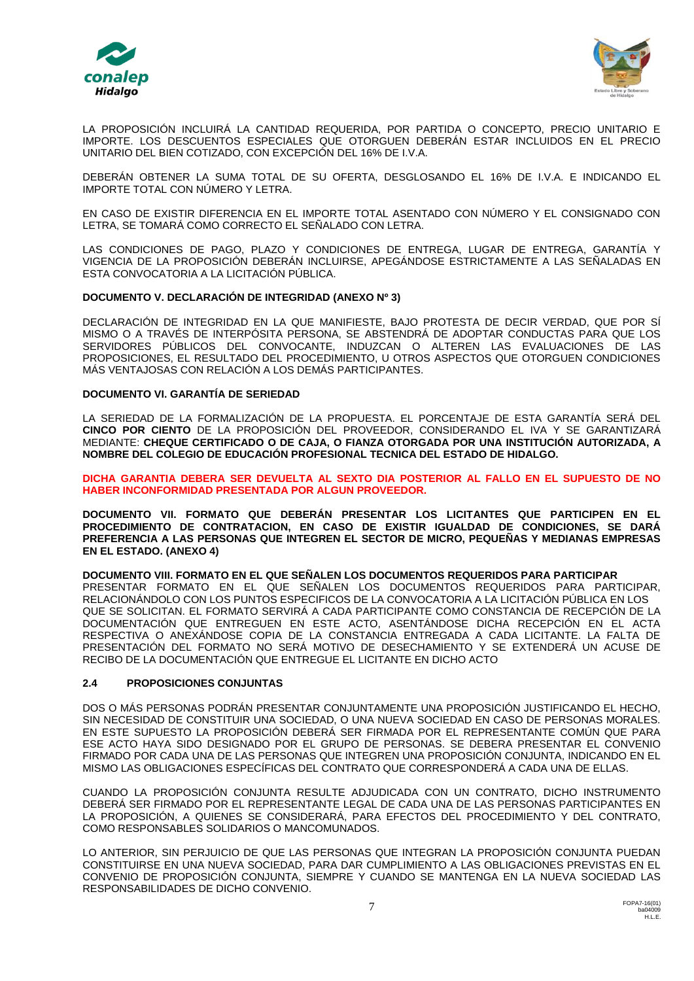



LA PROPOSICIÓN INCLUIRÁ LA CANTIDAD REQUERIDA, POR PARTIDA O CONCEPTO, PRECIO UNITARIO E IMPORTE. LOS DESCUENTOS ESPECIALES QUE OTORGUEN DEBERÁN ESTAR INCLUIDOS EN EL PRECIO UNITARIO DEL BIEN COTIZADO, CON EXCEPCIÓN DEL 16% DE I.V.A.

DEBERÁN OBTENER LA SUMA TOTAL DE SU OFERTA, DESGLOSANDO EL 16% DE I.V.A. E INDICANDO EL IMPORTE TOTAL CON NÚMERO Y LETRA.

EN CASO DE EXISTIR DIFERENCIA EN EL IMPORTE TOTAL ASENTADO CON NÚMERO Y EL CONSIGNADO CON LETRA, SE TOMARÁ COMO CORRECTO EL SEÑALADO CON LETRA.

LAS CONDICIONES DE PAGO, PLAZO Y CONDICIONES DE ENTREGA, LUGAR DE ENTREGA, GARANTÍA Y VIGENCIA DE LA PROPOSICIÓN DEBERÁN INCLUIRSE, APEGÁNDOSE ESTRICTAMENTE A LAS SEÑALADAS EN ESTA CONVOCATORIA A LA LICITACIÓN PÚBLICA.

#### **DOCUMENTO V. DECLARACIÓN DE INTEGRIDAD (ANEXO Nº 3)**

DECLARACIÓN DE INTEGRIDAD EN LA QUE MANIFIESTE, BAJO PROTESTA DE DECIR VERDAD, QUE POR SÍ MISMO O A TRAVÉS DE INTERPÓSITA PERSONA, SE ABSTENDRÁ DE ADOPTAR CONDUCTAS PARA QUE LOS SERVIDORES PÚBLICOS DEL CONVOCANTE, INDUZCAN O ALTEREN LAS EVALUACIONES DE LAS PROPOSICIONES, EL RESULTADO DEL PROCEDIMIENTO, U OTROS ASPECTOS QUE OTORGUEN CONDICIONES MÁS VENTAJOSAS CON RELACIÓN A LOS DEMÁS PARTICIPANTES.

#### **DOCUMENTO VI. GARANTÍA DE SERIEDAD**

LA SERIEDAD DE LA FORMALIZACIÓN DE LA PROPUESTA. EL PORCENTAJE DE ESTA GARANTÍA SERÁ DEL **CINCO POR CIENTO** DE LA PROPOSICIÓN DEL PROVEEDOR, CONSIDERANDO EL IVA Y SE GARANTIZARÁ MEDIANTE: **CHEQUE CERTIFICADO O DE CAJA, O FIANZA OTORGADA POR UNA INSTITUCIÓN AUTORIZADA, A NOMBRE DEL COLEGIO DE EDUCACIÓN PROFESIONAL TECNICA DEL ESTADO DE HIDALGO.**

**DICHA GARANTIA DEBERA SER DEVUELTA AL SEXTO DIA POSTERIOR AL FALLO EN EL SUPUESTO DE NO HABER INCONFORMIDAD PRESENTADA POR ALGUN PROVEEDOR.**

**DOCUMENTO VII. FORMATO QUE DEBERÁN PRESENTAR LOS LICITANTES QUE PARTICIPEN EN EL PROCEDIMIENTO DE CONTRATACION, EN CASO DE EXISTIR IGUALDAD DE CONDICIONES, SE DARÁ PREFERENCIA A LAS PERSONAS QUE INTEGREN EL SECTOR DE MICRO, PEQUEÑAS Y MEDIANAS EMPRESAS EN EL ESTADO. (ANEXO 4)**

#### **DOCUMENTO VIII. FORMATO EN EL QUE SEÑALEN LOS DOCUMENTOS REQUERIDOS PARA PARTICIPAR**

PRESENTAR FORMATO EN EL QUE SEÑALEN LOS DOCUMENTOS REQUERIDOS PARA PARTICIPAR, RELACIONÁNDOLO CON LOS PUNTOS ESPECIFICOS DE LA CONVOCATORIA A LA LICITACIÓN PÚBLICA EN LOS QUE SE SOLICITAN. EL FORMATO SERVIRÁ A CADA PARTICIPANTE COMO CONSTANCIA DE RECEPCIÓN DE LA DOCUMENTACIÓN QUE ENTREGUEN EN ESTE ACTO, ASENTÁNDOSE DICHA RECEPCIÓN EN EL ACTA RESPECTIVA O ANEXÁNDOSE COPIA DE LA CONSTANCIA ENTREGADA A CADA LICITANTE. LA FALTA DE PRESENTACIÓN DEL FORMATO NO SERÁ MOTIVO DE DESECHAMIENTO Y SE EXTENDERÁ UN ACUSE DE RECIBO DE LA DOCUMENTACIÓN QUE ENTREGUE EL LICITANTE EN DICHO ACTO

#### **2.4 PROPOSICIONES CONJUNTAS**

DOS O MÁS PERSONAS PODRÁN PRESENTAR CONJUNTAMENTE UNA PROPOSICIÓN JUSTIFICANDO EL HECHO, SIN NECESIDAD DE CONSTITUIR UNA SOCIEDAD, O UNA NUEVA SOCIEDAD EN CASO DE PERSONAS MORALES. EN ESTE SUPUESTO LA PROPOSICIÓN DEBERÁ SER FIRMADA POR EL REPRESENTANTE COMÚN QUE PARA ESE ACTO HAYA SIDO DESIGNADO POR EL GRUPO DE PERSONAS. SE DEBERA PRESENTAR EL CONVENIO FIRMADO POR CADA UNA DE LAS PERSONAS QUE INTEGREN UNA PROPOSICIÓN CONJUNTA, INDICANDO EN EL MISMO LAS OBLIGACIONES ESPECÍFICAS DEL CONTRATO QUE CORRESPONDERÁ A CADA UNA DE ELLAS.

CUANDO LA PROPOSICIÓN CONJUNTA RESULTE ADJUDICADA CON UN CONTRATO, DICHO INSTRUMENTO DEBERÁ SER FIRMADO POR EL REPRESENTANTE LEGAL DE CADA UNA DE LAS PERSONAS PARTICIPANTES EN LA PROPOSICIÓN, A QUIENES SE CONSIDERARÁ, PARA EFECTOS DEL PROCEDIMIENTO Y DEL CONTRATO, COMO RESPONSABLES SOLIDARIOS O MANCOMUNADOS.

LO ANTERIOR, SIN PERJUICIO DE QUE LAS PERSONAS QUE INTEGRAN LA PROPOSICIÓN CONJUNTA PUEDAN CONSTITUIRSE EN UNA NUEVA SOCIEDAD, PARA DAR CUMPLIMIENTO A LAS OBLIGACIONES PREVISTAS EN EL CONVENIO DE PROPOSICIÓN CONJUNTA, SIEMPRE Y CUANDO SE MANTENGA EN LA NUEVA SOCIEDAD LAS RESPONSABILIDADES DE DICHO CONVENIO.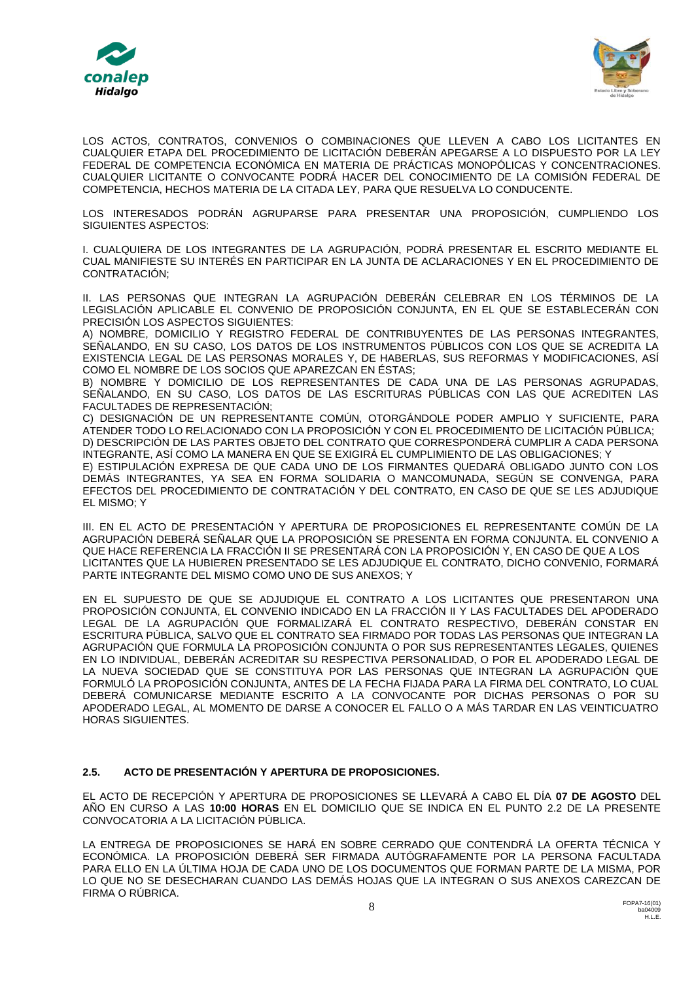



LOS ACTOS, CONTRATOS, CONVENIOS O COMBINACIONES QUE LLEVEN A CABO LOS LICITANTES EN CUALQUIER ETAPA DEL PROCEDIMIENTO DE LICITACIÓN DEBERÁN APEGARSE A LO DISPUESTO POR LA LEY FEDERAL DE COMPETENCIA ECONÓMICA EN MATERIA DE PRÁCTICAS MONOPÓLICAS Y CONCENTRACIONES. CUALQUIER LICITANTE O CONVOCANTE PODRÁ HACER DEL CONOCIMIENTO DE LA COMISIÓN FEDERAL DE COMPETENCIA, HECHOS MATERIA DE LA CITADA LEY, PARA QUE RESUELVA LO CONDUCENTE.

LOS INTERESADOS PODRÁN AGRUPARSE PARA PRESENTAR UNA PROPOSICIÓN, CUMPLIENDO LOS SIGUIENTES ASPECTOS:

I. CUALQUIERA DE LOS INTEGRANTES DE LA AGRUPACIÓN, PODRÁ PRESENTAR EL ESCRITO MEDIANTE EL CUAL MANIFIESTE SU INTERÉS EN PARTICIPAR EN LA JUNTA DE ACLARACIONES Y EN EL PROCEDIMIENTO DE CONTRATACIÓN;

II. LAS PERSONAS QUE INTEGRAN LA AGRUPACIÓN DEBERÁN CELEBRAR EN LOS TÉRMINOS DE LA LEGISLACIÓN APLICABLE EL CONVENIO DE PROPOSICIÓN CONJUNTA, EN EL QUE SE ESTABLECERÁN CON PRECISIÓN LOS ASPECTOS SIGUIENTES:

A) NOMBRE, DOMICILIO Y REGISTRO FEDERAL DE CONTRIBUYENTES DE LAS PERSONAS INTEGRANTES, SEÑALANDO, EN SU CASO, LOS DATOS DE LOS INSTRUMENTOS PÚBLICOS CON LOS QUE SE ACREDITA LA EXISTENCIA LEGAL DE LAS PERSONAS MORALES Y, DE HABERLAS, SUS REFORMAS Y MODIFICACIONES, ASÍ COMO EL NOMBRE DE LOS SOCIOS QUE APAREZCAN EN ÉSTAS;

B) NOMBRE Y DOMICILIO DE LOS REPRESENTANTES DE CADA UNA DE LAS PERSONAS AGRUPADAS, SEÑALANDO, EN SU CASO, LOS DATOS DE LAS ESCRITURAS PÚBLICAS CON LAS QUE ACREDITEN LAS FACULTADES DE REPRESENTACIÓN;

C) DESIGNACIÓN DE UN REPRESENTANTE COMÚN, OTORGÁNDOLE PODER AMPLIO Y SUFICIENTE, PARA ATENDER TODO LO RELACIONADO CON LA PROPOSICIÓN Y CON EL PROCEDIMIENTO DE LICITACIÓN PÚBLICA; D) DESCRIPCIÓN DE LAS PARTES OBJETO DEL CONTRATO QUE CORRESPONDERÁ CUMPLIR A CADA PERSONA INTEGRANTE, ASÍ COMO LA MANERA EN QUE SE EXIGIRÁ EL CUMPLIMIENTO DE LAS OBLIGACIONES; Y

E) ESTIPULACIÓN EXPRESA DE QUE CADA UNO DE LOS FIRMANTES QUEDARÁ OBLIGADO JUNTO CON LOS DEMÁS INTEGRANTES, YA SEA EN FORMA SOLIDARIA O MANCOMUNADA, SEGÚN SE CONVENGA, PARA EFECTOS DEL PROCEDIMIENTO DE CONTRATACIÓN Y DEL CONTRATO, EN CASO DE QUE SE LES ADJUDIQUE EL MISMO; Y

III. EN EL ACTO DE PRESENTACIÓN Y APERTURA DE PROPOSICIONES EL REPRESENTANTE COMÚN DE LA AGRUPACIÓN DEBERÁ SEÑALAR QUE LA PROPOSICIÓN SE PRESENTA EN FORMA CONJUNTA. EL CONVENIO A QUE HACE REFERENCIA LA FRACCIÓN II SE PRESENTARÁ CON LA PROPOSICIÓN Y, EN CASO DE QUE A LOS LICITANTES QUE LA HUBIEREN PRESENTADO SE LES ADJUDIQUE EL CONTRATO, DICHO CONVENIO, FORMARÁ PARTE INTEGRANTE DEL MISMO COMO UNO DE SUS ANEXOS; Y

EN EL SUPUESTO DE QUE SE ADJUDIQUE EL CONTRATO A LOS LICITANTES QUE PRESENTARON UNA PROPOSICIÓN CONJUNTA, EL CONVENIO INDICADO EN LA FRACCIÓN II Y LAS FACULTADES DEL APODERADO LEGAL DE LA AGRUPACIÓN QUE FORMALIZARÁ EL CONTRATO RESPECTIVO, DEBERÁN CONSTAR EN ESCRITURA PÚBLICA, SALVO QUE EL CONTRATO SEA FIRMADO POR TODAS LAS PERSONAS QUE INTEGRAN LA AGRUPACIÓN QUE FORMULA LA PROPOSICIÓN CONJUNTA O POR SUS REPRESENTANTES LEGALES, QUIENES EN LO INDIVIDUAL, DEBERÁN ACREDITAR SU RESPECTIVA PERSONALIDAD, O POR EL APODERADO LEGAL DE LA NUEVA SOCIEDAD QUE SE CONSTITUYA POR LAS PERSONAS QUE INTEGRAN LA AGRUPACIÓN QUE FORMULÓ LA PROPOSICIÓN CONJUNTA, ANTES DE LA FECHA FIJADA PARA LA FIRMA DEL CONTRATO, LO CUAL DEBERÁ COMUNICARSE MEDIANTE ESCRITO A LA CONVOCANTE POR DICHAS PERSONAS O POR SU APODERADO LEGAL, AL MOMENTO DE DARSE A CONOCER EL FALLO O A MÁS TARDAR EN LAS VEINTICUATRO HORAS SIGUIENTES.

### **2.5. ACTO DE PRESENTACIÓN Y APERTURA DE PROPOSICIONES.**

EL ACTO DE RECEPCIÓN Y APERTURA DE PROPOSICIONES SE LLEVARÁ A CABO EL DÍA **07 DE AGOSTO** DEL AÑO EN CURSO A LAS **10:00 HORAS** EN EL DOMICILIO QUE SE INDICA EN EL PUNTO 2.2 DE LA PRESENTE CONVOCATORIA A LA LICITACIÓN PÚBLICA.

LA ENTREGA DE PROPOSICIONES SE HARÁ EN SOBRE CERRADO QUE CONTENDRÁ LA OFERTA TÉCNICA Y ECONÓMICA. LA PROPOSICIÓN DEBERÁ SER FIRMADA AUTÓGRAFAMENTE POR LA PERSONA FACULTADA PARA ELLO EN LA ÚLTIMA HOJA DE CADA UNO DE LOS DOCUMENTOS QUE FORMAN PARTE DE LA MISMA, POR LO QUE NO SE DESECHARAN CUANDO LAS DEMÁS HOJAS QUE LA INTEGRAN O SUS ANEXOS CAREZCAN DE FIRMA O RÚBRICA.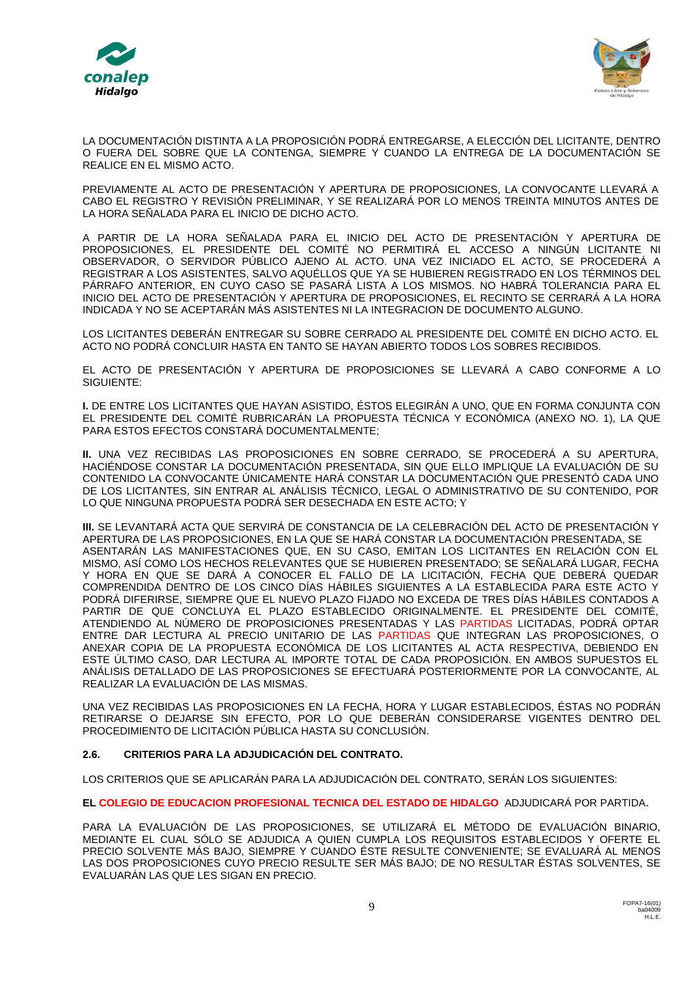



LA DOCUMENTACIÓN DISTINTA A LA PROPOSICIÓN PODRÁ ENTREGARSE, A ELECCIÓN DEL LICITANTE, DENTRO O FUERA DEL SOBRE QUE LA CONTENGA, SIEMPRE Y CUANDO LA ENTREGA DE LA DOCUMENTACIÓN SE REALICE EN EL MISMO ACTO.

PREVIAMENTE AL ACTO DE PRESENTACIÓN Y APERTURA DE PROPOSICIONES, LA CONVOCANTE LLEVARÁ A CABO EL REGISTRO Y REVISIÓN PRELIMINAR, Y SE REALIZARÁ POR LO MENOS TREINTA MINUTOS ANTES DE LA HORA SEÑALADA PARA EL INICIO DE DICHO ACTO.

A PARTIR DE LA HORA SEÑALADA PARA EL INICIO DEL ACTO DE PRESENTACIÓN Y APERTURA DE PROPOSICIONES, EL PRESIDENTE DEL COMITÉ NO PERMITIRÁ EL ACCESO A NINGÚN LICITANTE NI OBSERVADOR, O SERVIDOR PÚBLICO AJENO AL ACTO. UNA VEZ INICIADO EL ACTO, SE PROCEDERÁ A REGISTRAR A LOS ASISTENTES, SALVO AQUÉLLOS QUE YA SE HUBIEREN REGISTRADO EN LOS TÉRMINOS DEL PÁRRAFO ANTERIOR, EN CUYO CASO SE PASARÁ LISTA A LOS MISMOS. NO HABRÁ TOLERANCIA PARA EL INICIO DEL ACTO DE PRESENTACIÓN Y APERTURA DE PROPOSICIONES, EL RECINTO SE CERRARÁ A LA HORA INDICADA Y NO SE ACEPTARÁN MÁS ASISTENTES NI LA INTEGRACION DE DOCUMENTO ALGUNO.

LOS LICITANTES DEBERÁN ENTREGAR SU SOBRE CERRADO AL PRESIDENTE DEL COMITÉ EN DICHO ACTO. EL ACTO NO PODRÁ CONCLUIR HASTA EN TANTO SE HAYAN ABIERTO TODOS LOS SOBRES RECIBIDOS.

EL ACTO DE PRESENTACIÓN Y APERTURA DE PROPOSICIONES SE LLEVARÁ A CABO CONFORME A LO SIGUIENTE:

**I.** DE ENTRE LOS LICITANTES QUE HAYAN ASISTIDO, ÉSTOS ELEGIRÁN A UNO, QUE EN FORMA CONJUNTA CON EL PRESIDENTE DEL COMITÉ RUBRICARÁN LA PROPUESTA TÉCNICA Y ECONÓMICA (ANEXO NO. 1), LA QUE PARA ESTOS EFECTOS CONSTARÁ DOCUMENTALMENTE;

**II.** UNA VEZ RECIBIDAS LAS PROPOSICIONES EN SOBRE CERRADO, SE PROCEDERÁ A SU APERTURA, HACIÉNDOSE CONSTAR LA DOCUMENTACIÓN PRESENTADA, SIN QUE ELLO IMPLIQUE LA EVALUACIÓN DE SU CONTENIDO LA CONVOCANTE ÚNICAMENTE HARÁ CONSTAR LA DOCUMENTACIÓN QUE PRESENTÓ CADA UNO DE LOS LICITANTES, SIN ENTRAR AL ANÁLISIS TÉCNICO, LEGAL O ADMINISTRATIVO DE SU CONTENIDO, POR LO QUE NINGUNA PROPUESTA PODRÁ SER DESECHADA EN ESTE ACTO; Y

**III.** SE LEVANTARÁ ACTA QUE SERVIRÁ DE CONSTANCIA DE LA CELEBRACIÓN DEL ACTO DE PRESENTACIÓN Y APERTURA DE LAS PROPOSICIONES, EN LA QUE SE HARÁ CONSTAR LA DOCUMENTACIÓN PRESENTADA, SE ASENTARÁN LAS MANIFESTACIONES QUE, EN SU CASO, EMITAN LOS LICITANTES EN RELACIÓN CON EL MISMO, ASÍ COMO LOS HECHOS RELEVANTES QUE SE HUBIEREN PRESENTADO; SE SEÑALARÁ LUGAR, FECHA Y HORA EN QUE SE DARÁ A CONOCER EL FALLO DE LA LICITACIÓN, FECHA QUE DEBERÁ QUEDAR COMPRENDIDA DENTRO DE LOS CINCO DÍAS HÁBILES SIGUIENTES A LA ESTABLECIDA PARA ESTE ACTO Y PODRÁ DIFERIRSE, SIEMPRE QUE EL NUEVO PLAZO FIJADO NO EXCEDA DE TRES DÍAS HÁBILES CONTADOS A PARTIR DE QUE CONCLUYA EL PLAZO ESTABLECIDO ORIGINALMENTE. EL PRESIDENTE DEL COMITÉ, ATENDIENDO AL NÚMERO DE PROPOSICIONES PRESENTADAS Y LAS PARTIDAS LICITADAS, PODRÁ OPTAR ENTRE DAR LECTURA AL PRECIO UNITARIO DE LAS PARTIDAS QUE INTEGRAN LAS PROPOSICIONES, O ANEXAR COPIA DE LA PROPUESTA ECONÓMICA DE LOS LICITANTES AL ACTA RESPECTIVA, DEBIENDO EN ESTE ÚLTIMO CASO, DAR LECTURA AL IMPORTE TOTAL DE CADA PROPOSICIÓN. EN AMBOS SUPUESTOS EL ANÁLISIS DETALLADO DE LAS PROPOSICIONES SE EFECTUARÁ POSTERIORMENTE POR LA CONVOCANTE, AL REALIZAR LA EVALUACIÓN DE LAS MISMAS.

UNA VEZ RECIBIDAS LAS PROPOSICIONES EN LA FECHA, HORA Y LUGAR ESTABLECIDOS, ÉSTAS NO PODRÁN RETIRARSE O DEJARSE SIN EFECTO, POR LO QUE DEBERÁN CONSIDERARSE VIGENTES DENTRO DEL PROCEDIMIENTO DE LICITACIÓN PÚBLICA HASTA SU CONCLUSIÓN.

### **2.6. CRITERIOS PARA LA ADJUDICACIÓN DEL CONTRATO.**

LOS CRITERIOS QUE SE APLICARÁN PARA LA ADJUDICACIÓN DEL CONTRATO, SERÁN LOS SIGUIENTES:

**EL COLEGIO DE EDUCACION PROFESIONAL TECNICA DEL ESTADO DE HIDALGO** ADJUDICARÁ POR PARTIDA**.**

PARA LA EVALUACIÓN DE LAS PROPOSICIONES, SE UTILIZARÁ EL MÉTODO DE EVALUACIÓN BINARIO, MEDIANTE EL CUAL SÓLO SE ADJUDICA A QUIEN CUMPLA LOS REQUISITOS ESTABLECIDOS Y OFERTE EL PRECIO SOLVENTE MÁS BAJO, SIEMPRE Y CUANDO ÉSTE RESULTE CONVENIENTE; SE EVALUARÁ AL MENOS LAS DOS PROPOSICIONES CUYO PRECIO RESULTE SER MÁS BAJO; DE NO RESULTAR ÉSTAS SOLVENTES, SE EVALUARÁN LAS QUE LES SIGAN EN PRECIO.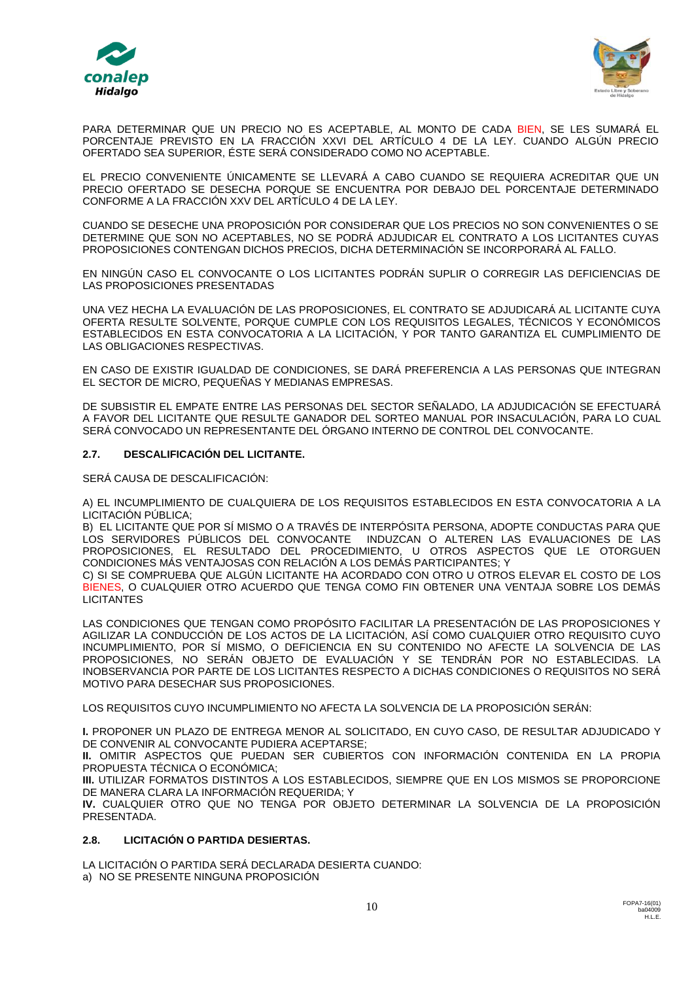



PARA DETERMINAR QUE UN PRECIO NO ES ACEPTABLE, AL MONTO DE CADA BIEN, SE LES SUMARÁ EL PORCENTAJE PREVISTO EN LA FRACCIÓN XXVI DEL ARTÍCULO 4 DE LA LEY. CUANDO ALGÚN PRECIO OFERTADO SEA SUPERIOR, ÉSTE SERÁ CONSIDERADO COMO NO ACEPTABLE.

EL PRECIO CONVENIENTE ÚNICAMENTE SE LLEVARÁ A CABO CUANDO SE REQUIERA ACREDITAR QUE UN PRECIO OFERTADO SE DESECHA PORQUE SE ENCUENTRA POR DEBAJO DEL PORCENTAJE DETERMINADO CONFORME A LA FRACCIÓN XXV DEL ARTÍCULO 4 DE LA LEY.

CUANDO SE DESECHE UNA PROPOSICIÓN POR CONSIDERAR QUE LOS PRECIOS NO SON CONVENIENTES O SE DETERMINE QUE SON NO ACEPTABLES, NO SE PODRÁ ADJUDICAR EL CONTRATO A LOS LICITANTES CUYAS PROPOSICIONES CONTENGAN DICHOS PRECIOS, DICHA DETERMINACIÓN SE INCORPORARÁ AL FALLO.

EN NINGÚN CASO EL CONVOCANTE O LOS LICITANTES PODRÁN SUPLIR O CORREGIR LAS DEFICIENCIAS DE LAS PROPOSICIONES PRESENTADAS

UNA VEZ HECHA LA EVALUACIÓN DE LAS PROPOSICIONES, EL CONTRATO SE ADJUDICARÁ AL LICITANTE CUYA OFERTA RESULTE SOLVENTE, PORQUE CUMPLE CON LOS REQUISITOS LEGALES, TÉCNICOS Y ECONÓMICOS ESTABLECIDOS EN ESTA CONVOCATORIA A LA LICITACIÓN, Y POR TANTO GARANTIZA EL CUMPLIMIENTO DE LAS OBLIGACIONES RESPECTIVAS.

EN CASO DE EXISTIR IGUALDAD DE CONDICIONES, SE DARÁ PREFERENCIA A LAS PERSONAS QUE INTEGRAN EL SECTOR DE MICRO, PEQUEÑAS Y MEDIANAS EMPRESAS.

DE SUBSISTIR EL EMPATE ENTRE LAS PERSONAS DEL SECTOR SEÑALADO, LA ADJUDICACIÓN SE EFECTUARÁ A FAVOR DEL LICITANTE QUE RESULTE GANADOR DEL SORTEO MANUAL POR INSACULACIÓN, PARA LO CUAL SERÁ CONVOCADO UN REPRESENTANTE DEL ÓRGANO INTERNO DE CONTROL DEL CONVOCANTE.

### **2.7. DESCALIFICACIÓN DEL LICITANTE.**

SERÁ CAUSA DE DESCALIFICACIÓN:

A) EL INCUMPLIMIENTO DE CUALQUIERA DE LOS REQUISITOS ESTABLECIDOS EN ESTA CONVOCATORIA A LA LICITACIÓN PÚBLICA;

B) EL LICITANTE QUE POR SÍ MISMO O A TRAVÉS DE INTERPÓSITA PERSONA, ADOPTE CONDUCTAS PARA QUE LOS SERVIDORES PÚBLICOS DEL CONVOCANTE INDUZCAN O ALTEREN LAS EVALUACIONES DE LAS PROPOSICIONES, EL RESULTADO DEL PROCEDIMIENTO, U OTROS ASPECTOS QUE LE OTORGUEN CONDICIONES MÁS VENTAJOSAS CON RELACIÓN A LOS DEMÁS PARTICIPANTES; Y

C) SI SE COMPRUEBA QUE ALGÚN LICITANTE HA ACORDADO CON OTRO U OTROS ELEVAR EL COSTO DE LOS BIENES, O CUALQUIER OTRO ACUERDO QUE TENGA COMO FIN OBTENER UNA VENTAJA SOBRE LOS DEMÁS **LICITANTES** 

LAS CONDICIONES QUE TENGAN COMO PROPÓSITO FACILITAR LA PRESENTACIÓN DE LAS PROPOSICIONES Y AGILIZAR LA CONDUCCIÓN DE LOS ACTOS DE LA LICITACIÓN, ASÍ COMO CUALQUIER OTRO REQUISITO CUYO INCUMPLIMIENTO, POR SÍ MISMO, O DEFICIENCIA EN SU CONTENIDO NO AFECTE LA SOLVENCIA DE LAS PROPOSICIONES, NO SERÁN OBJETO DE EVALUACIÓN Y SE TENDRÁN POR NO ESTABLECIDAS. LA INOBSERVANCIA POR PARTE DE LOS LICITANTES RESPECTO A DICHAS CONDICIONES O REQUISITOS NO SERÁ MOTIVO PARA DESECHAR SUS PROPOSICIONES.

LOS REQUISITOS CUYO INCUMPLIMIENTO NO AFECTA LA SOLVENCIA DE LA PROPOSICIÓN SERÁN:

**I.** PROPONER UN PLAZO DE ENTREGA MENOR AL SOLICITADO, EN CUYO CASO, DE RESULTAR ADJUDICADO Y DE CONVENIR AL CONVOCANTE PUDIERA ACEPTARSE;

**II.** OMITIR ASPECTOS QUE PUEDAN SER CUBIERTOS CON INFORMACIÓN CONTENIDA EN LA PROPIA PROPUESTA TÉCNICA O ECONÓMICA;

**III.** UTILIZAR FORMATOS DISTINTOS A LOS ESTABLECIDOS, SIEMPRE QUE EN LOS MISMOS SE PROPORCIONE DE MANERA CLARA LA INFORMACIÓN REQUERIDA; Y

**IV.** CUALQUIER OTRO QUE NO TENGA POR OBJETO DETERMINAR LA SOLVENCIA DE LA PROPOSICIÓN PRESENTADA.

### **2.8. LICITACIÓN O PARTIDA DESIERTAS.**

LA LICITACIÓN O PARTIDA SERÁ DECLARADA DESIERTA CUANDO: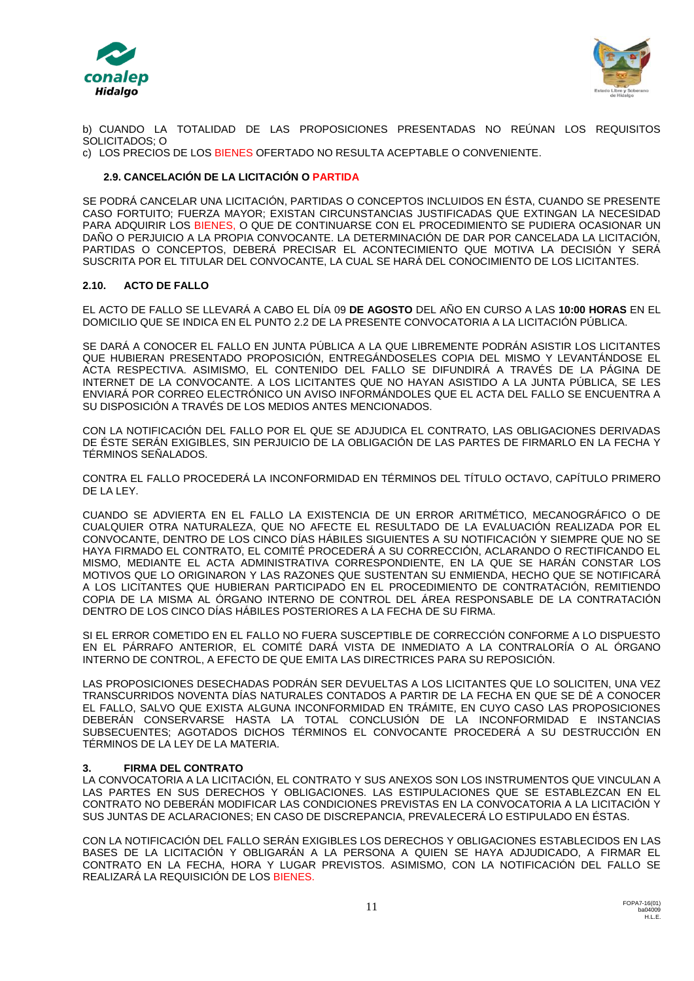



b) CUANDO LA TOTALIDAD DE LAS PROPOSICIONES PRESENTADAS NO REÚNAN LOS REQUISITOS SOLICITADOS; O

c) LOS PRECIOS DE LOS BIENES OFERTADO NO RESULTA ACEPTABLE O CONVENIENTE.

## **2.9. CANCELACIÓN DE LA LICITACIÓN O PARTIDA**

SE PODRÁ CANCELAR UNA LICITACIÓN, PARTIDAS O CONCEPTOS INCLUIDOS EN ÉSTA, CUANDO SE PRESENTE CASO FORTUITO; FUERZA MAYOR; EXISTAN CIRCUNSTANCIAS JUSTIFICADAS QUE EXTINGAN LA NECESIDAD PARA ADQUIRIR LOS BIENES, O QUE DE CONTINUARSE CON EL PROCEDIMIENTO SE PUDIERA OCASIONAR UN DAÑO O PERJUICIO A LA PROPIA CONVOCANTE. LA DETERMINACIÓN DE DAR POR CANCELADA LA LICITACIÓN, PARTIDAS O CONCEPTOS, DEBERÁ PRECISAR EL ACONTECIMIENTO QUE MOTIVA LA DECISIÓN Y SERÁ SUSCRITA POR EL TITULAR DEL CONVOCANTE, LA CUAL SE HARÁ DEL CONOCIMIENTO DE LOS LICITANTES.

### **2.10. ACTO DE FALLO**

EL ACTO DE FALLO SE LLEVARÁ A CABO EL DÍA 09 **DE AGOSTO** DEL AÑO EN CURSO A LAS **10:00 HORAS** EN EL DOMICILIO QUE SE INDICA EN EL PUNTO 2.2 DE LA PRESENTE CONVOCATORIA A LA LICITACIÓN PÚBLICA.

SE DARÁ A CONOCER EL FALLO EN JUNTA PÚBLICA A LA QUE LIBREMENTE PODRÁN ASISTIR LOS LICITANTES QUE HUBIERAN PRESENTADO PROPOSICIÓN, ENTREGÁNDOSELES COPIA DEL MISMO Y LEVANTÁNDOSE EL ACTA RESPECTIVA. ASIMISMO, EL CONTENIDO DEL FALLO SE DIFUNDIRÁ A TRAVÉS DE LA PÁGINA DE INTERNET DE LA CONVOCANTE. A LOS LICITANTES QUE NO HAYAN ASISTIDO A LA JUNTA PÚBLICA, SE LES ENVIARÁ POR CORREO ELECTRÓNICO UN AVISO INFORMÁNDOLES QUE EL ACTA DEL FALLO SE ENCUENTRA A SU DISPOSICIÓN A TRAVÉS DE LOS MEDIOS ANTES MENCIONADOS.

CON LA NOTIFICACIÓN DEL FALLO POR EL QUE SE ADJUDICA EL CONTRATO, LAS OBLIGACIONES DERIVADAS DE ÉSTE SERÁN EXIGIBLES, SIN PERJUICIO DE LA OBLIGACIÓN DE LAS PARTES DE FIRMARLO EN LA FECHA Y TÉRMINOS SEÑALADOS.

CONTRA EL FALLO PROCEDERÁ LA INCONFORMIDAD EN TÉRMINOS DEL TÍTULO OCTAVO, CAPÍTULO PRIMERO DE LA LEY.

CUANDO SE ADVIERTA EN EL FALLO LA EXISTENCIA DE UN ERROR ARITMÉTICO, MECANOGRÁFICO O DE CUALQUIER OTRA NATURALEZA, QUE NO AFECTE EL RESULTADO DE LA EVALUACIÓN REALIZADA POR EL CONVOCANTE, DENTRO DE LOS CINCO DÍAS HÁBILES SIGUIENTES A SU NOTIFICACIÓN Y SIEMPRE QUE NO SE HAYA FIRMADO EL CONTRATO, EL COMITÉ PROCEDERÁ A SU CORRECCIÓN, ACLARANDO O RECTIFICANDO EL MISMO, MEDIANTE EL ACTA ADMINISTRATIVA CORRESPONDIENTE, EN LA QUE SE HARÁN CONSTAR LOS MOTIVOS QUE LO ORIGINARON Y LAS RAZONES QUE SUSTENTAN SU ENMIENDA, HECHO QUE SE NOTIFICARÁ A LOS LICITANTES QUE HUBIERAN PARTICIPADO EN EL PROCEDIMIENTO DE CONTRATACIÓN, REMITIENDO COPIA DE LA MISMA AL ÓRGANO INTERNO DE CONTROL DEL ÁREA RESPONSABLE DE LA CONTRATACIÓN DENTRO DE LOS CINCO DÍAS HÁBILES POSTERIORES A LA FECHA DE SU FIRMA.

SI EL ERROR COMETIDO EN EL FALLO NO FUERA SUSCEPTIBLE DE CORRECCIÓN CONFORME A LO DISPUESTO EN EL PÁRRAFO ANTERIOR, EL COMITÉ DARÁ VISTA DE INMEDIATO A LA CONTRALORÍA O AL ÓRGANO INTERNO DE CONTROL, A EFECTO DE QUE EMITA LAS DIRECTRICES PARA SU REPOSICIÓN.

LAS PROPOSICIONES DESECHADAS PODRÁN SER DEVUELTAS A LOS LICITANTES QUE LO SOLICITEN, UNA VEZ TRANSCURRIDOS NOVENTA DÍAS NATURALES CONTADOS A PARTIR DE LA FECHA EN QUE SE DÉ A CONOCER EL FALLO, SALVO QUE EXISTA ALGUNA INCONFORMIDAD EN TRÁMITE, EN CUYO CASO LAS PROPOSICIONES DEBERÁN CONSERVARSE HASTA LA TOTAL CONCLUSIÓN DE LA INCONFORMIDAD E INSTANCIAS SUBSECUENTES; AGOTADOS DICHOS TÉRMINOS EL CONVOCANTE PROCEDERÁ A SU DESTRUCCIÓN EN TÉRMINOS DE LA LEY DE LA MATERIA.

### **3. FIRMA DEL CONTRATO**

LA CONVOCATORIA A LA LICITACIÓN, EL CONTRATO Y SUS ANEXOS SON LOS INSTRUMENTOS QUE VINCULAN A LAS PARTES EN SUS DERECHOS Y OBLIGACIONES. LAS ESTIPULACIONES QUE SE ESTABLEZCAN EN EL CONTRATO NO DEBERÁN MODIFICAR LAS CONDICIONES PREVISTAS EN LA CONVOCATORIA A LA LICITACIÓN Y SUS JUNTAS DE ACLARACIONES; EN CASO DE DISCREPANCIA, PREVALECERÁ LO ESTIPULADO EN ÉSTAS.

CON LA NOTIFICACIÓN DEL FALLO SERÁN EXIGIBLES LOS DERECHOS Y OBLIGACIONES ESTABLECIDOS EN LAS BASES DE LA LICITACIÓN Y OBLIGARÁN A LA PERSONA A QUIEN SE HAYA ADJUDICADO, A FIRMAR EL CONTRATO EN LA FECHA, HORA Y LUGAR PREVISTOS. ASIMISMO, CON LA NOTIFICACIÓN DEL FALLO SE REALIZARÁ LA REQUISICIÓN DE LOS BIENES.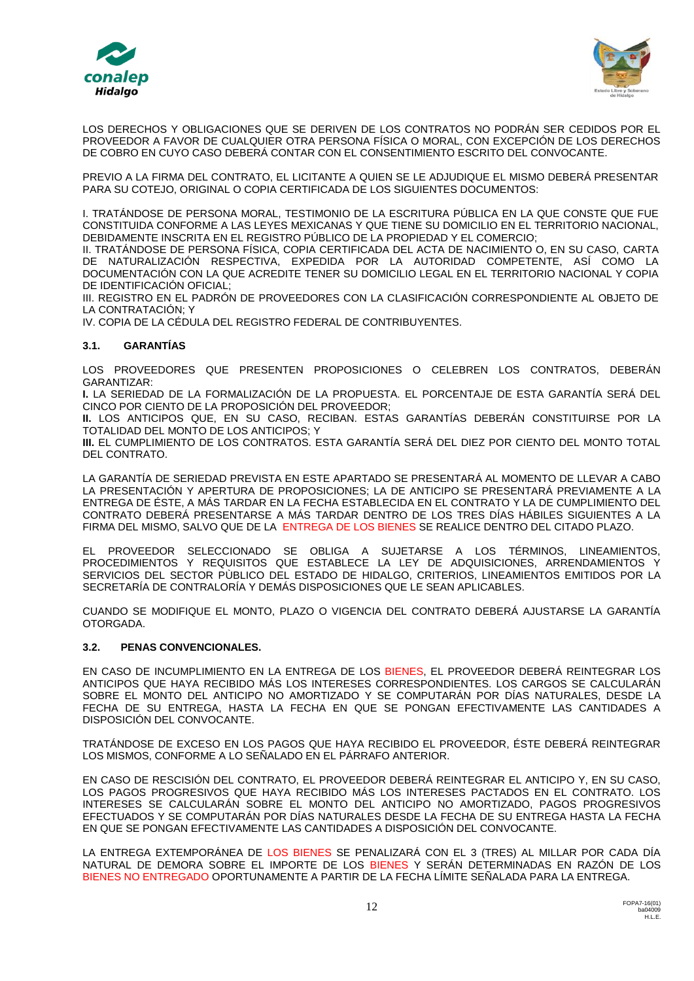



LOS DERECHOS Y OBLIGACIONES QUE SE DERIVEN DE LOS CONTRATOS NO PODRÁN SER CEDIDOS POR EL PROVEEDOR A FAVOR DE CUALQUIER OTRA PERSONA FÍSICA O MORAL, CON EXCEPCIÓN DE LOS DERECHOS DE COBRO EN CUYO CASO DEBERÁ CONTAR CON EL CONSENTIMIENTO ESCRITO DEL CONVOCANTE.

PREVIO A LA FIRMA DEL CONTRATO, EL LICITANTE A QUIEN SE LE ADJUDIQUE EL MISMO DEBERÁ PRESENTAR PARA SU COTEJO, ORIGINAL O COPIA CERTIFICADA DE LOS SIGUIENTES DOCUMENTOS:

I. TRATÁNDOSE DE PERSONA MORAL, TESTIMONIO DE LA ESCRITURA PÚBLICA EN LA QUE CONSTE QUE FUE CONSTITUIDA CONFORME A LAS LEYES MEXICANAS Y QUE TIENE SU DOMICILIO EN EL TERRITORIO NACIONAL, DEBIDAMENTE INSCRITA EN EL REGISTRO PÚBLICO DE LA PROPIEDAD Y EL COMERCIO;

II. TRATÁNDOSE DE PERSONA FÍSICA, COPIA CERTIFICADA DEL ACTA DE NACIMIENTO O, EN SU CASO, CARTA DE NATURALIZACIÓN RESPECTIVA, EXPEDIDA POR LA AUTORIDAD COMPETENTE, ASÍ COMO LA DOCUMENTACIÓN CON LA QUE ACREDITE TENER SU DOMICILIO LEGAL EN EL TERRITORIO NACIONAL Y COPIA DE IDENTIFICACIÓN OFICIAL;

III. REGISTRO EN EL PADRÓN DE PROVEEDORES CON LA CLASIFICACIÓN CORRESPONDIENTE AL OBJETO DE LA CONTRATACIÓN; Y

IV. COPIA DE LA CÉDULA DEL REGISTRO FEDERAL DE CONTRIBUYENTES.

### **3.1. GARANTÍAS**

LOS PROVEEDORES QUE PRESENTEN PROPOSICIONES O CELEBREN LOS CONTRATOS, DEBERÁN GARANTIZAR:

**I.** LA SERIEDAD DE LA FORMALIZACIÓN DE LA PROPUESTA. EL PORCENTAJE DE ESTA GARANTÍA SERÁ DEL CINCO POR CIENTO DE LA PROPOSICIÓN DEL PROVEEDOR;

**II.** LOS ANTICIPOS QUE, EN SU CASO, RECIBAN. ESTAS GARANTÍAS DEBERÁN CONSTITUIRSE POR LA TOTALIDAD DEL MONTO DE LOS ANTICIPOS; Y

**III.** EL CUMPLIMIENTO DE LOS CONTRATOS. ESTA GARANTÍA SERÁ DEL DIEZ POR CIENTO DEL MONTO TOTAL DEL CONTRATO.

LA GARANTÍA DE SERIEDAD PREVISTA EN ESTE APARTADO SE PRESENTARÁ AL MOMENTO DE LLEVAR A CABO LA PRESENTACIÓN Y APERTURA DE PROPOSICIONES; LA DE ANTICIPO SE PRESENTARÁ PREVIAMENTE A LA ENTREGA DE ÉSTE, A MÁS TARDAR EN LA FECHA ESTABLECIDA EN EL CONTRATO Y LA DE CUMPLIMIENTO DEL CONTRATO DEBERÁ PRESENTARSE A MÁS TARDAR DENTRO DE LOS TRES DÍAS HÁBILES SIGUIENTES A LA FIRMA DEL MISMO, SALVO QUE DE LA ENTREGA DE LOS BIENES SE REALICE DENTRO DEL CITADO PLAZO.

EL PROVEEDOR SELECCIONADO SE OBLIGA A SUJETARSE A LOS TÉRMINOS, LINEAMIENTOS, PROCEDIMIENTOS Y REQUISITOS QUE ESTABLECE LA LEY DE ADQUISICIONES, ARRENDAMIENTOS Y SERVICIOS DEL SECTOR PÙBLICO DEL ESTADO DE HIDALGO, CRITERIOS, LINEAMIENTOS EMITIDOS POR LA SECRETARÍA DE CONTRALORÍA Y DEMÁS DISPOSICIONES QUE LE SEAN APLICABLES.

CUANDO SE MODIFIQUE EL MONTO, PLAZO O VIGENCIA DEL CONTRATO DEBERÁ AJUSTARSE LA GARANTÍA OTORGADA.

#### **3.2. PENAS CONVENCIONALES.**

EN CASO DE INCUMPLIMIENTO EN LA ENTREGA DE LOS BIENES, EL PROVEEDOR DEBERÁ REINTEGRAR LOS ANTICIPOS QUE HAYA RECIBIDO MÁS LOS INTERESES CORRESPONDIENTES. LOS CARGOS SE CALCULARÁN SOBRE EL MONTO DEL ANTICIPO NO AMORTIZADO Y SE COMPUTARÁN POR DÍAS NATURALES, DESDE LA FECHA DE SU ENTREGA, HASTA LA FECHA EN QUE SE PONGAN EFECTIVAMENTE LAS CANTIDADES A DISPOSICIÓN DEL CONVOCANTE.

TRATÁNDOSE DE EXCESO EN LOS PAGOS QUE HAYA RECIBIDO EL PROVEEDOR, ÉSTE DEBERÁ REINTEGRAR LOS MISMOS, CONFORME A LO SEÑALADO EN EL PÁRRAFO ANTERIOR.

EN CASO DE RESCISIÓN DEL CONTRATO, EL PROVEEDOR DEBERÁ REINTEGRAR EL ANTICIPO Y, EN SU CASO, LOS PAGOS PROGRESIVOS QUE HAYA RECIBIDO MÁS LOS INTERESES PACTADOS EN EL CONTRATO. LOS INTERESES SE CALCULARÁN SOBRE EL MONTO DEL ANTICIPO NO AMORTIZADO, PAGOS PROGRESIVOS EFECTUADOS Y SE COMPUTARÁN POR DÍAS NATURALES DESDE LA FECHA DE SU ENTREGA HASTA LA FECHA EN QUE SE PONGAN EFECTIVAMENTE LAS CANTIDADES A DISPOSICIÓN DEL CONVOCANTE.

LA ENTREGA EXTEMPORÁNEA DE LOS BIENES SE PENALIZARÁ CON EL 3 (TRES) AL MILLAR POR CADA DÍA NATURAL DE DEMORA SOBRE EL IMPORTE DE LOS BIENES Y SERÁN DETERMINADAS EN RAZÓN DE LOS BIENES NO ENTREGADO OPORTUNAMENTE A PARTIR DE LA FECHA LÍMITE SEÑALADA PARA LA ENTREGA.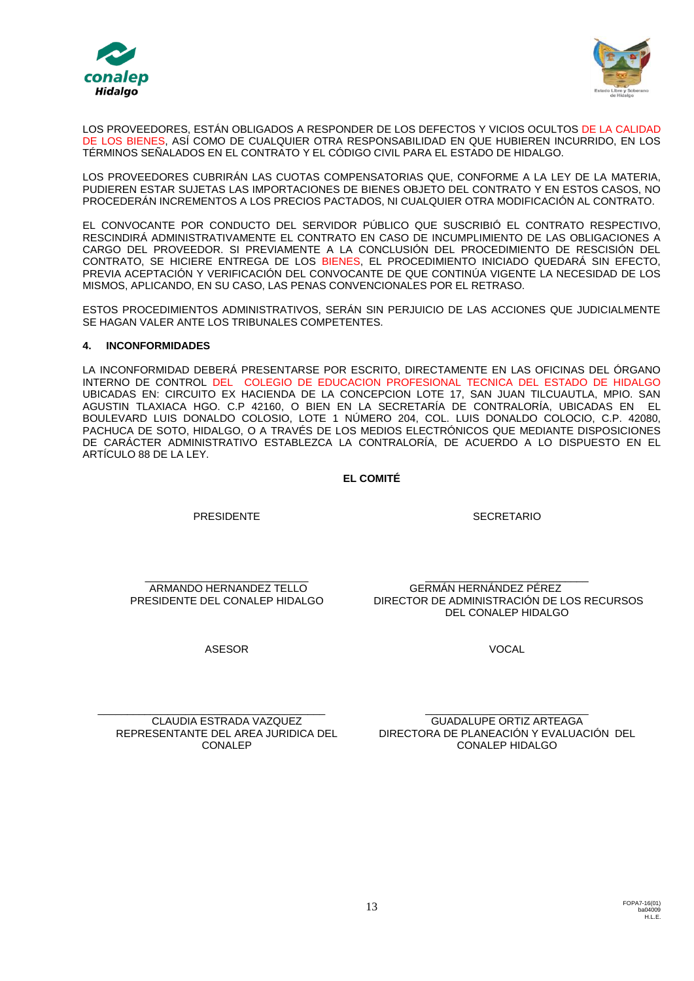



LOS PROVEEDORES, ESTÁN OBLIGADOS A RESPONDER DE LOS DEFECTOS Y VICIOS OCULTOS DE LA CALIDAD DE LOS BIENES, ASÍ COMO DE CUALQUIER OTRA RESPONSABILIDAD EN QUE HUBIEREN INCURRIDO, EN LOS TÉRMINOS SEÑALADOS EN EL CONTRATO Y EL CÓDIGO CIVIL PARA EL ESTADO DE HIDALGO.

LOS PROVEEDORES CUBRIRÁN LAS CUOTAS COMPENSATORIAS QUE, CONFORME A LA LEY DE LA MATERIA, PUDIEREN ESTAR SUJETAS LAS IMPORTACIONES DE BIENES OBJETO DEL CONTRATO Y EN ESTOS CASOS, NO PROCEDERÁN INCREMENTOS A LOS PRECIOS PACTADOS, NI CUALQUIER OTRA MODIFICACIÓN AL CONTRATO.

EL CONVOCANTE POR CONDUCTO DEL SERVIDOR PÚBLICO QUE SUSCRIBIÓ EL CONTRATO RESPECTIVO, RESCINDIRÁ ADMINISTRATIVAMENTE EL CONTRATO EN CASO DE INCUMPLIMIENTO DE LAS OBLIGACIONES A CARGO DEL PROVEEDOR. SI PREVIAMENTE A LA CONCLUSIÓN DEL PROCEDIMIENTO DE RESCISIÓN DEL CONTRATO, SE HICIERE ENTREGA DE LOS BIENES, EL PROCEDIMIENTO INICIADO QUEDARÁ SIN EFECTO, PREVIA ACEPTACIÓN Y VERIFICACIÓN DEL CONVOCANTE DE QUE CONTINÚA VIGENTE LA NECESIDAD DE LOS MISMOS, APLICANDO, EN SU CASO, LAS PENAS CONVENCIONALES POR EL RETRASO.

ESTOS PROCEDIMIENTOS ADMINISTRATIVOS, SERÁN SIN PERJUICIO DE LAS ACCIONES QUE JUDICIALMENTE SE HAGAN VALER ANTE LOS TRIBUNALES COMPETENTES.

### **4. INCONFORMIDADES**

LA INCONFORMIDAD DEBERÁ PRESENTARSE POR ESCRITO, DIRECTAMENTE EN LAS OFICINAS DEL ÓRGANO INTERNO DE CONTROL DEL COLEGIO DE EDUCACION PROFESIONAL TECNICA DEL ESTADO DE HIDALGO UBICADAS EN: CIRCUITO EX HACIENDA DE LA CONCEPCION LOTE 17, SAN JUAN TILCUAUTLA, MPIO. SAN AGUSTIN TLAXIACA HGO. C.P 42160, O BIEN EN LA SECRETARÍA DE CONTRALORÍA, UBICADAS EN EL BOULEVARD LUIS DONALDO COLOSIO, LOTE 1 NÚMERO 204, COL. LUIS DONALDO COLOCIO, C.P. 42080, PACHUCA DE SOTO, HIDALGO, O A TRAVÉS DE LOS MEDIOS ELECTRÓNICOS QUE MEDIANTE DISPOSICIONES DE CARÁCTER ADMINISTRATIVO ESTABLEZCA LA CONTRALORÍA, DE ACUERDO A LO DISPUESTO EN EL ARTÍCULO 88 DE LA LEY.

## **EL COMITÉ**

PRESIDENTE

**SECRETARIO** 

\_\_\_\_\_\_\_\_\_\_\_\_\_\_\_\_\_\_\_\_\_\_\_\_\_\_\_\_ ARMANDO HERNANDEZ TELLO PRESIDENTE DEL CONALEP HIDALGO

\_\_\_\_\_\_\_\_\_\_\_\_\_\_\_\_\_\_\_\_\_\_\_\_\_\_\_\_ GERMÁN HERNÁNDEZ PÉREZ DIRECTOR DE ADMINISTRACIÓN DE LOS RECURSOS DEL CONALEP HIDALGO

ASESOR

**VOCAL** 

\_\_\_\_\_\_\_\_\_\_\_\_\_\_\_\_\_\_\_\_\_\_\_\_\_\_\_\_\_\_\_\_\_\_\_\_\_\_\_ CLAUDIA ESTRADA VAZQUEZ CONALEP

REPRESENTANTE DEL AREA JURIDICA DEL DIRECTORA DE PLANEACIÓN Y EVALUACIÓN DEL \_\_\_\_\_\_\_\_\_\_\_\_\_\_\_\_\_\_\_\_\_\_\_\_\_\_\_\_ GUADALUPE ORTIZ ARTEAGA CONALEP HIDALGO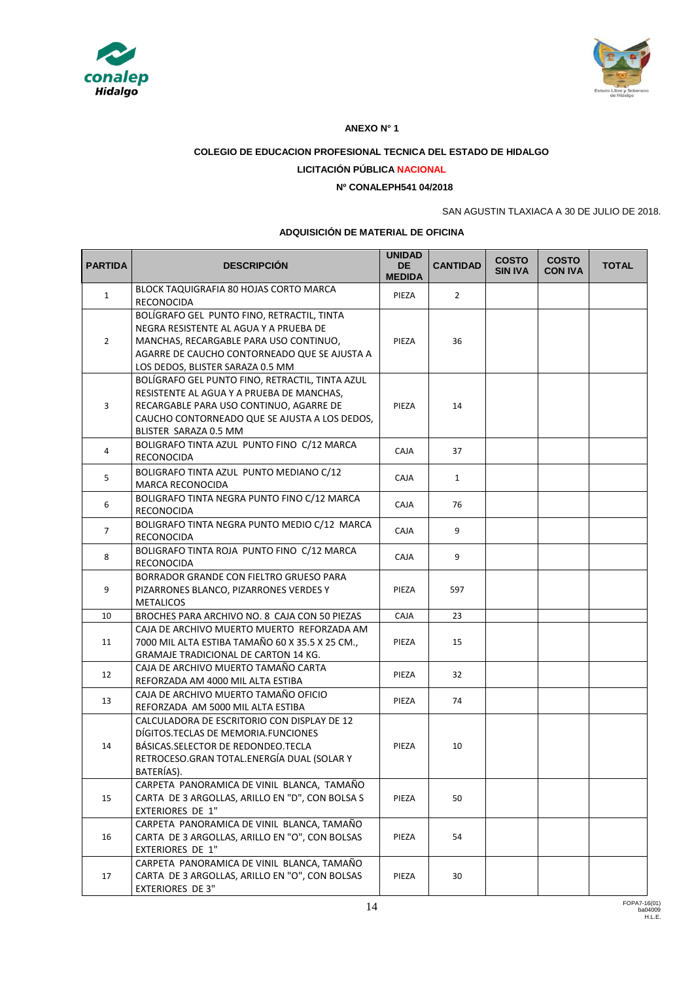



### **ANEXO N° 1**

## **COLEGIO DE EDUCACION PROFESIONAL TECNICA DEL ESTADO DE HIDALGO**

## **LICITACIÓN PÚBLICA NACIONAL**

## **Nº CONALEPH541 04/2018**

## SAN AGUSTIN TLAXIACA A 30 DE JULIO DE 2018.

#### **ADQUISICIÓN DE MATERIAL DE OFICINA**

| <b>PARTIDA</b> | <b>DESCRIPCIÓN</b>                                                                                                                                                                                                 | <b>UNIDAD</b><br><b>DE</b><br><b>MEDIDA</b> | <b>CANTIDAD</b> | <b>COSTO</b><br><b>SIN IVA</b> | <b>COSTO</b><br><b>CON IVA</b> | <b>TOTAL</b> |
|----------------|--------------------------------------------------------------------------------------------------------------------------------------------------------------------------------------------------------------------|---------------------------------------------|-----------------|--------------------------------|--------------------------------|--------------|
| $\mathbf{1}$   | BLOCK TAQUIGRAFIA 80 HOJAS CORTO MARCA<br>RECONOCIDA                                                                                                                                                               | PIEZA                                       | $\overline{2}$  |                                |                                |              |
| $\overline{2}$ | BOLÍGRAFO GEL PUNTO FINO, RETRACTIL, TINTA<br>NEGRA RESISTENTE AL AGUA Y A PRUEBA DE<br>MANCHAS, RECARGABLE PARA USO CONTINUO,<br>AGARRE DE CAUCHO CONTORNEADO QUE SE AJUSTA A<br>LOS DEDOS, BLISTER SARAZA 0.5 MM | PIEZA                                       | 36              |                                |                                |              |
| 3              | BOLÍGRAFO GEL PUNTO FINO, RETRACTIL, TINTA AZUL<br>RESISTENTE AL AGUA Y A PRUEBA DE MANCHAS,<br>RECARGABLE PARA USO CONTINUO, AGARRE DE<br>CAUCHO CONTORNEADO QUE SE AJUSTA A LOS DEDOS,<br>BLISTER SARAZA 0.5 MM  | PIEZA                                       | 14              |                                |                                |              |
| $\overline{4}$ | BOLIGRAFO TINTA AZUL PUNTO FINO C/12 MARCA<br>RECONOCIDA                                                                                                                                                           | <b>CAJA</b>                                 | 37              |                                |                                |              |
| 5              | BOLIGRAFO TINTA AZUL PUNTO MEDIANO C/12<br><b>MARCA RECONOCIDA</b>                                                                                                                                                 | <b>CAJA</b>                                 | $\mathbf{1}$    |                                |                                |              |
| 6              | BOLIGRAFO TINTA NEGRA PUNTO FINO C/12 MARCA<br><b>RECONOCIDA</b>                                                                                                                                                   | <b>CAJA</b>                                 | 76              |                                |                                |              |
| $\overline{7}$ | BOLIGRAFO TINTA NEGRA PUNTO MEDIO C/12 MARCA<br>RECONOCIDA                                                                                                                                                         | <b>CAJA</b>                                 | 9               |                                |                                |              |
| 8              | BOLIGRAFO TINTA ROJA PUNTO FINO C/12 MARCA<br>RECONOCIDA                                                                                                                                                           | <b>CAJA</b>                                 | 9               |                                |                                |              |
| 9              | BORRADOR GRANDE CON FIELTRO GRUESO PARA<br>PIZARRONES BLANCO, PIZARRONES VERDES Y<br><b>METALICOS</b>                                                                                                              | PIEZA                                       | 597             |                                |                                |              |
| 10             | BROCHES PARA ARCHIVO NO. 8 CAJA CON 50 PIEZAS                                                                                                                                                                      | CAJA                                        | 23              |                                |                                |              |
| 11             | CAJA DE ARCHIVO MUERTO MUERTO REFORZADA AM<br>7000 MIL ALTA ESTIBA TAMAÑO 60 X 35.5 X 25 CM.,<br><b>GRAMAJE TRADICIONAL DE CARTON 14 KG.</b>                                                                       | PIEZA                                       | 15              |                                |                                |              |
| 12             | CAJA DE ARCHIVO MUERTO TAMAÑO CARTA<br>REFORZADA AM 4000 MIL ALTA ESTIBA                                                                                                                                           | PIEZA                                       | 32              |                                |                                |              |
| 13             | CAJA DE ARCHIVO MUERTO TAMAÑO OFICIO<br>REFORZADA AM 5000 MIL ALTA ESTIBA                                                                                                                                          | PIEZA                                       | 74              |                                |                                |              |
| 14             | CALCULADORA DE ESCRITORIO CON DISPLAY DE 12<br>DÍGITOS.TECLAS DE MEMORIA.FUNCIONES<br>BÁSICAS.SELECTOR DE REDONDEO.TECLA<br>RETROCESO.GRAN TOTAL.ENERGÍA DUAL (SOLAR Y<br>BATERÍAS).                               | PIEZA                                       | 10              |                                |                                |              |
| 15             | CARPETA PANORAMICA DE VINIL BLANCA, TAMAÑO<br>CARTA DE 3 ARGOLLAS, ARILLO EN "D", CON BOLSA S<br><b>EXTERIORES DE 1"</b>                                                                                           | PIEZA                                       | 50              |                                |                                |              |
| 16             | CARPETA PANORAMICA DE VINIL BLANCA, TAMAÑO<br>CARTA DE 3 ARGOLLAS, ARILLO EN "O", CON BOLSAS<br>EXTERIORES DE 1"                                                                                                   | PIEZA                                       | 54              |                                |                                |              |
| 17             | CARPETA PANORAMICA DE VINIL BLANCA, TAMAÑO<br>CARTA DE 3 ARGOLLAS, ARILLO EN "O", CON BOLSAS<br><b>EXTERIORES DE 3"</b>                                                                                            | PIEZA                                       | 30              |                                |                                |              |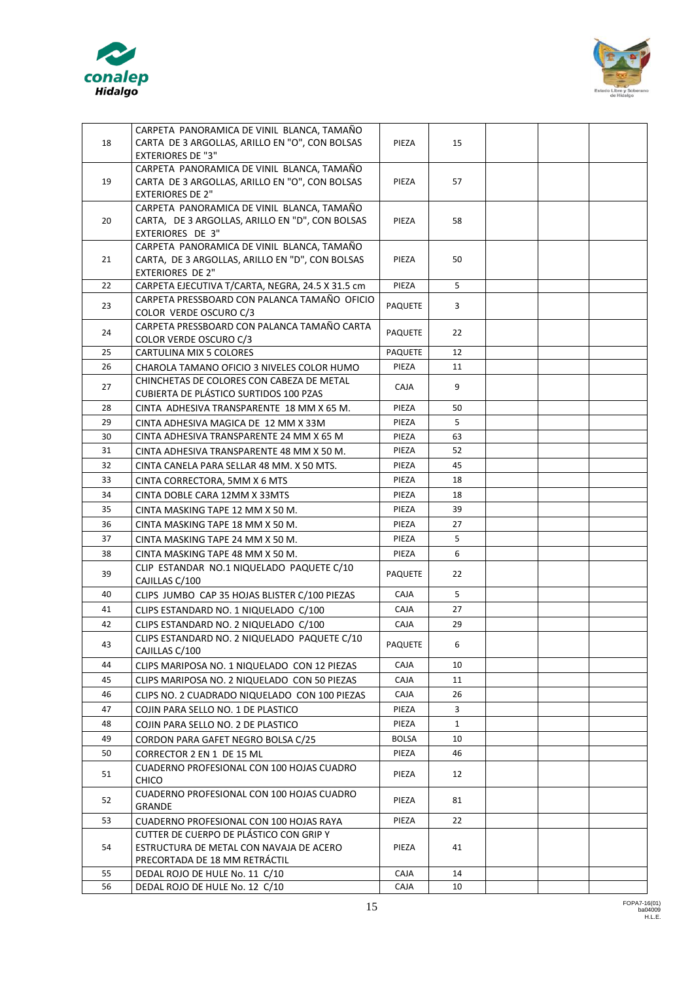



| 18 | CARPETA PANORAMICA DE VINIL BLANCA, TAMAÑO<br>CARTA DE 3 ARGOLLAS, ARILLO EN "O", CON BOLSAS | PIEZA          | 15           |  |  |
|----|----------------------------------------------------------------------------------------------|----------------|--------------|--|--|
|    | <b>EXTERIORES DE "3"</b>                                                                     |                |              |  |  |
|    | CARPETA PANORAMICA DE VINIL BLANCA, TAMAÑO                                                   |                |              |  |  |
| 19 | CARTA DE 3 ARGOLLAS, ARILLO EN "O", CON BOLSAS                                               | PIEZA          | 57           |  |  |
|    | <b>EXTERIORES DE 2"</b>                                                                      |                |              |  |  |
|    | CARPETA PANORAMICA DE VINIL BLANCA, TAMAÑO                                                   |                |              |  |  |
| 20 | CARTA, DE 3 ARGOLLAS, ARILLO EN "D", CON BOLSAS                                              | PIEZA          | 58           |  |  |
|    | EXTERIORES DE 3"                                                                             |                |              |  |  |
|    | CARPETA PANORAMICA DE VINIL BLANCA, TAMAÑO                                                   |                |              |  |  |
| 21 | CARTA, DE 3 ARGOLLAS, ARILLO EN "D", CON BOLSAS                                              | PIEZA          | 50           |  |  |
|    | <b>EXTERIORES DE 2"</b>                                                                      |                |              |  |  |
| 22 | CARPETA EJECUTIVA T/CARTA, NEGRA, 24.5 X 31.5 cm                                             | PIEZA          | 5            |  |  |
|    | CARPETA PRESSBOARD CON PALANCA TAMAÑO OFICIO                                                 |                |              |  |  |
| 23 | COLOR VERDE OSCURO C/3                                                                       | <b>PAQUETE</b> | 3            |  |  |
|    | CARPETA PRESSBOARD CON PALANCA TAMAÑO CARTA                                                  |                |              |  |  |
| 24 | COLOR VERDE OSCURO C/3                                                                       | <b>PAQUETE</b> | 22           |  |  |
| 25 | CARTULINA MIX 5 COLORES                                                                      | <b>PAQUETE</b> | 12           |  |  |
| 26 | CHAROLA TAMANO OFICIO 3 NIVELES COLOR HUMO                                                   | PIEZA          | 11           |  |  |
|    | CHINCHETAS DE COLORES CON CABEZA DE METAL                                                    |                |              |  |  |
| 27 | <b>CUBIERTA DE PLÁSTICO SURTIDOS 100 PZAS</b>                                                | <b>CAJA</b>    | 9            |  |  |
| 28 |                                                                                              | PIEZA          | 50           |  |  |
|    | CINTA ADHESIVA TRANSPARENTE 18 MM X 65 M.                                                    |                |              |  |  |
| 29 | CINTA ADHESIVA MAGICA DE 12 MM X 33M                                                         | PIEZA          | 5            |  |  |
| 30 | CINTA ADHESIVA TRANSPARENTE 24 MM X 65 M                                                     | PIEZA          | 63           |  |  |
| 31 | CINTA ADHESIVA TRANSPARENTE 48 MM X 50 M.                                                    | PIEZA          | 52           |  |  |
| 32 | CINTA CANELA PARA SELLAR 48 MM. X 50 MTS.                                                    | PIEZA          | 45           |  |  |
| 33 | CINTA CORRECTORA, 5MM X 6 MTS                                                                | PIEZA          | 18           |  |  |
| 34 | CINTA DOBLE CARA 12MM X 33MTS                                                                | PIEZA          | 18           |  |  |
| 35 | CINTA MASKING TAPE 12 MM X 50 M.                                                             | PIEZA          | 39           |  |  |
| 36 | CINTA MASKING TAPE 18 MM X 50 M.                                                             | PIEZA          | 27           |  |  |
| 37 |                                                                                              | PIEZA          | 5            |  |  |
|    | CINTA MASKING TAPE 24 MM X 50 M.                                                             |                |              |  |  |
| 38 | CINTA MASKING TAPE 48 MM X 50 M.                                                             | PIEZA          | 6            |  |  |
| 39 | CLIP ESTANDAR NO.1 NIQUELADO PAQUETE C/10<br>CAJILLAS C/100                                  | <b>PAQUETE</b> | 22           |  |  |
| 40 |                                                                                              | <b>CAJA</b>    | 5            |  |  |
|    | CLIPS JUMBO CAP 35 HOJAS BLISTER C/100 PIEZAS                                                |                |              |  |  |
| 41 | CLIPS ESTANDARD NO. 1 NIQUELADO C/100                                                        | <b>CAJA</b>    | 27           |  |  |
| 42 | CLIPS ESTANDARD NO. 2 NIQUELADO C/100                                                        | CAJA           | 29           |  |  |
| 43 | CLIPS ESTANDARD NO. 2 NIQUELADO PAQUETE C/10                                                 | PAQUETE        | 6            |  |  |
|    | CAJILLAS C/100                                                                               |                |              |  |  |
| 44 | CLIPS MARIPOSA NO. 1 NIQUELADO CON 12 PIEZAS                                                 | <b>CAJA</b>    | 10           |  |  |
| 45 | CLIPS MARIPOSA NO. 2 NIQUELADO CON 50 PIEZAS                                                 | <b>CAJA</b>    | 11           |  |  |
| 46 | CLIPS NO. 2 CUADRADO NIQUELADO CON 100 PIEZAS                                                | CAJA           | 26           |  |  |
| 47 | COJIN PARA SELLO NO. 1 DE PLASTICO                                                           | PIEZA          | 3            |  |  |
| 48 | COJIN PARA SELLO NO. 2 DE PLASTICO                                                           | PIEZA          | $\mathbf{1}$ |  |  |
| 49 | CORDON PARA GAFET NEGRO BOLSA C/25                                                           | <b>BOLSA</b>   | 10           |  |  |
| 50 | CORRECTOR 2 EN 1 DE 15 ML                                                                    | PIEZA          | 46           |  |  |
|    | CUADERNO PROFESIONAL CON 100 HOJAS CUADRO                                                    |                |              |  |  |
| 51 | CHICO                                                                                        | PIEZA          | 12           |  |  |
|    | CUADERNO PROFESIONAL CON 100 HOJAS CUADRO                                                    |                |              |  |  |
| 52 | GRANDE                                                                                       | PIEZA          | 81           |  |  |
| 53 | CUADERNO PROFESIONAL CON 100 HOJAS RAYA                                                      | PIEZA          | 22           |  |  |
|    | CUTTER DE CUERPO DE PLÁSTICO CON GRIP Y                                                      |                |              |  |  |
| 54 | ESTRUCTURA DE METAL CON NAVAJA DE ACERO                                                      | PIEZA          | 41           |  |  |
|    | PRECORTADA DE 18 MM RETRÁCTIL                                                                |                |              |  |  |
| 55 | DEDAL ROJO DE HULE No. 11 C/10                                                               | <b>CAJA</b>    | 14           |  |  |
| 56 | DEDAL ROJO DE HULE No. 12 C/10                                                               | CAJA           | 10           |  |  |
|    |                                                                                              |                |              |  |  |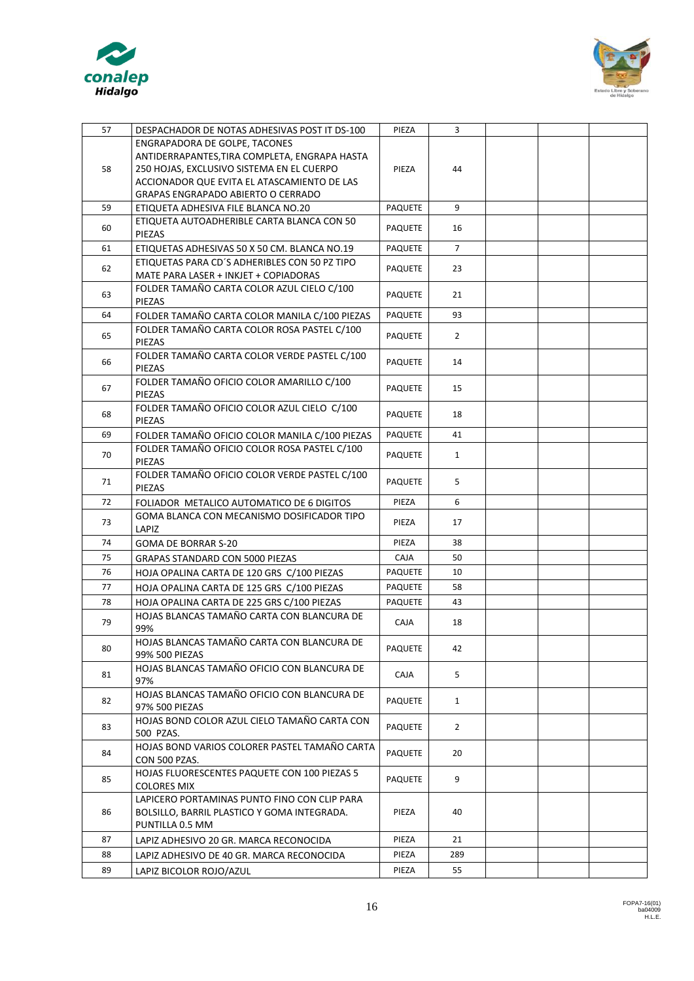



| 57 | DESPACHADOR DE NOTAS ADHESIVAS POST IT DS-100                      | PIEZA          | $\overline{3}$ |  |  |
|----|--------------------------------------------------------------------|----------------|----------------|--|--|
|    | ENGRAPADORA DE GOLPE, TACONES                                      |                |                |  |  |
|    | ANTIDERRAPANTES, TIRA COMPLETA, ENGRAPA HASTA                      |                |                |  |  |
| 58 | 250 HOJAS, EXCLUSIVO SISTEMA EN EL CUERPO                          | PIEZA          | 44             |  |  |
|    | ACCIONADOR QUE EVITA EL ATASCAMIENTO DE LAS                        |                |                |  |  |
|    | GRAPAS ENGRAPADO ABIERTO O CERRADO                                 |                |                |  |  |
| 59 | ETIQUETA ADHESIVA FILE BLANCA NO.20                                | PAQUETE        | 9              |  |  |
| 60 | ETIQUETA AUTOADHERIBLE CARTA BLANCA CON 50<br>PIEZAS               | <b>PAQUETE</b> | 16             |  |  |
| 61 | ETIQUETAS ADHESIVAS 50 X 50 CM. BLANCA NO.19                       | <b>PAQUETE</b> | $\overline{7}$ |  |  |
|    | ETIQUETAS PARA CD'S ADHERIBLES CON 50 PZ TIPO                      |                |                |  |  |
| 62 | MATE PARA LASER + INKJET + COPIADORAS                              | <b>PAQUETE</b> | 23             |  |  |
| 63 | FOLDER TAMAÑO CARTA COLOR AZUL CIELO C/100                         | PAQUETE        | 21             |  |  |
|    | PIEZAS                                                             |                |                |  |  |
| 64 | FOLDER TAMAÑO CARTA COLOR MANILA C/100 PIEZAS                      | <b>PAQUETE</b> | 93             |  |  |
| 65 | FOLDER TAMAÑO CARTA COLOR ROSA PASTEL C/100                        | <b>PAQUETE</b> | $\overline{2}$ |  |  |
|    | PIEZAS                                                             |                |                |  |  |
| 66 | FOLDER TAMAÑO CARTA COLOR VERDE PASTEL C/100<br>PIEZAS             | <b>PAQUETE</b> | 14             |  |  |
|    | FOLDER TAMAÑO OFICIO COLOR AMARILLO C/100                          |                |                |  |  |
| 67 | PIEZAS                                                             | <b>PAQUETE</b> | 15             |  |  |
|    | FOLDER TAMAÑO OFICIO COLOR AZUL CIELO C/100                        |                |                |  |  |
| 68 | PIEZAS                                                             | <b>PAQUETE</b> | 18             |  |  |
| 69 | FOLDER TAMAÑO OFICIO COLOR MANILA C/100 PIEZAS                     | PAQUETE        | 41             |  |  |
|    | FOLDER TAMAÑO OFICIO COLOR ROSA PASTEL C/100                       |                |                |  |  |
| 70 | PIEZAS                                                             | <b>PAQUETE</b> | $\mathbf{1}$   |  |  |
| 71 | FOLDER TAMAÑO OFICIO COLOR VERDE PASTEL C/100                      | <b>PAQUETE</b> | 5              |  |  |
|    | PIEZAS                                                             |                |                |  |  |
| 72 | FOLIADOR METALICO AUTOMATICO DE 6 DIGITOS                          | PIEZA          | 6              |  |  |
| 73 | GOMA BLANCA CON MECANISMO DOSIFICADOR TIPO                         | PIEZA          | 17             |  |  |
|    | LAPIZ                                                              |                |                |  |  |
| 74 | <b>GOMA DE BORRAR S-20</b>                                         | PIEZA          | 38             |  |  |
| 75 | <b>GRAPAS STANDARD CON 5000 PIEZAS</b>                             | <b>CAJA</b>    | 50             |  |  |
| 76 | HOJA OPALINA CARTA DE 120 GRS C/100 PIEZAS                         | <b>PAQUETE</b> | 10             |  |  |
| 77 | HOJA OPALINA CARTA DE 125 GRS C/100 PIEZAS                         | <b>PAQUETE</b> | 58             |  |  |
| 78 | HOJA OPALINA CARTA DE 225 GRS C/100 PIEZAS                         | <b>PAQUETE</b> | 43             |  |  |
| 79 | HOJAS BLANCAS TAMAÑO CARTA CON BLANCURA DE                         | <b>CAJA</b>    | 18             |  |  |
|    | 99%<br>HOJAS BLANCAS TAMAÑO CARTA CON BLANCURA DE                  |                |                |  |  |
| 80 | 99% 500 PIEZAS                                                     | <b>PAQUETE</b> | 42             |  |  |
|    | HOJAS BLANCAS TAMAÑO OFICIO CON BLANCURA DE                        |                |                |  |  |
| 81 | 97%                                                                | <b>CAJA</b>    | 5              |  |  |
|    | HOJAS BLANCAS TAMAÑO OFICIO CON BLANCURA DE                        |                |                |  |  |
| 82 | 97% 500 PIEZAS                                                     | <b>PAQUETE</b> | $\mathbf{1}$   |  |  |
| 83 | HOJAS BOND COLOR AZUL CIELO TAMAÑO CARTA CON                       | <b>PAQUETE</b> | $\overline{2}$ |  |  |
|    | 500 PZAS.                                                          |                |                |  |  |
| 84 | HOJAS BOND VARIOS COLORER PASTEL TAMAÑO CARTA                      | <b>PAQUETE</b> | 20             |  |  |
|    | CON 500 PZAS.                                                      |                |                |  |  |
| 85 | HOJAS FLUORESCENTES PAQUETE CON 100 PIEZAS 5<br><b>COLORES MIX</b> | <b>PAQUETE</b> | 9              |  |  |
|    | LAPICERO PORTAMINAS PUNTO FINO CON CLIP PARA                       |                |                |  |  |
| 86 | BOLSILLO, BARRIL PLASTICO Y GOMA INTEGRADA.                        | PIEZA          | 40             |  |  |
|    | PUNTILLA 0.5 MM                                                    |                |                |  |  |
| 87 | LAPIZ ADHESIVO 20 GR. MARCA RECONOCIDA                             | PIEZA          | 21             |  |  |
| 88 | LAPIZ ADHESIVO DE 40 GR. MARCA RECONOCIDA                          | PIEZA          | 289            |  |  |
| 89 | LAPIZ BICOLOR ROJO/AZUL                                            | PIEZA          | 55             |  |  |
|    |                                                                    |                |                |  |  |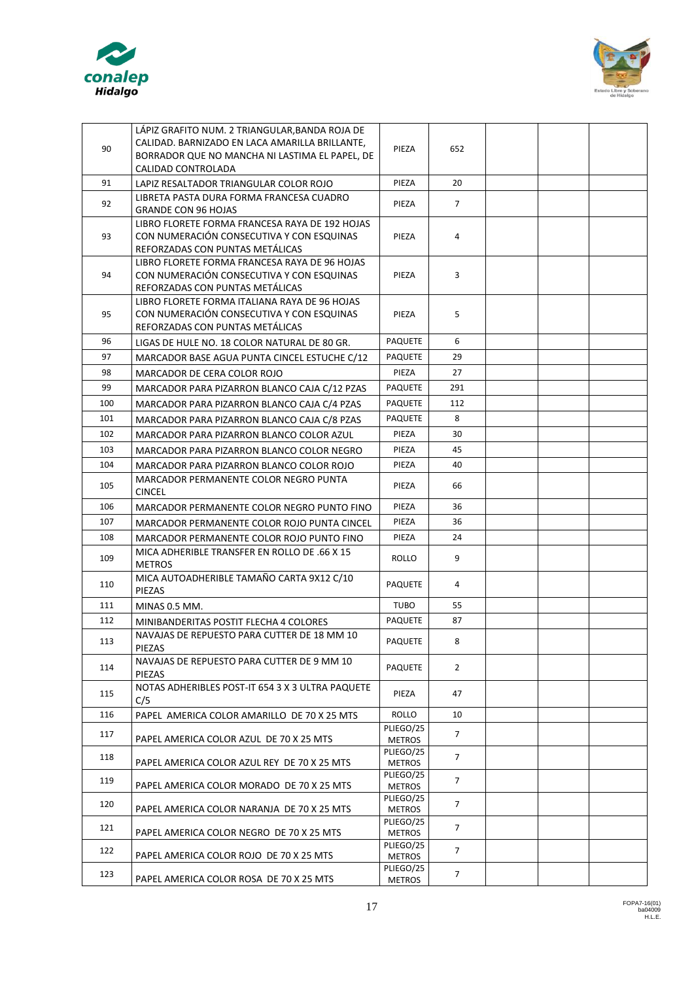



|     | LÁPIZ GRAFITO NUM. 2 TRIANGULAR.BANDA ROJA DE                                              |                            |                |  |  |
|-----|--------------------------------------------------------------------------------------------|----------------------------|----------------|--|--|
| 90  | CALIDAD. BARNIZADO EN LACA AMARILLA BRILLANTE,                                             | PIEZA                      | 652            |  |  |
|     | BORRADOR QUE NO MANCHA NI LASTIMA EL PAPEL, DE<br>CALIDAD CONTROLADA                       |                            |                |  |  |
| 91  | LAPIZ RESALTADOR TRIANGULAR COLOR ROJO                                                     | PIEZA                      | 20             |  |  |
|     | LIBRETA PASTA DURA FORMA FRANCESA CUADRO                                                   |                            |                |  |  |
| 92  | <b>GRANDE CON 96 HOJAS</b>                                                                 | PIEZA                      | $\overline{7}$ |  |  |
|     | LIBRO FLORETE FORMA FRANCESA RAYA DE 192 HOJAS                                             |                            |                |  |  |
| 93  | CON NUMERACIÓN CONSECUTIVA Y CON ESQUINAS                                                  | PIEZA                      | 4              |  |  |
|     | REFORZADAS CON PUNTAS METÁLICAS                                                            |                            |                |  |  |
| 94  | LIBRO FLORETE FORMA FRANCESA RAYA DE 96 HOJAS<br>CON NUMERACIÓN CONSECUTIVA Y CON ESQUINAS | PIEZA                      | 3              |  |  |
|     | REFORZADAS CON PUNTAS METÁLICAS                                                            |                            |                |  |  |
|     | LIBRO FLORETE FORMA ITALIANA RAYA DE 96 HOJAS                                              |                            |                |  |  |
| 95  | CON NUMERACIÓN CONSECUTIVA Y CON ESQUINAS                                                  | PIEZA                      | 5              |  |  |
|     | REFORZADAS CON PUNTAS METÁLICAS                                                            |                            |                |  |  |
| 96  | LIGAS DE HULE NO. 18 COLOR NATURAL DE 80 GR.                                               | <b>PAQUETE</b>             | 6              |  |  |
| 97  | MARCADOR BASE AGUA PUNTA CINCEL ESTUCHE C/12                                               | <b>PAQUETE</b>             | 29             |  |  |
| 98  | MARCADOR DE CERA COLOR ROJO                                                                | PIEZA                      | 27             |  |  |
| 99  | MARCADOR PARA PIZARRON BLANCO CAJA C/12 PZAS                                               | <b>PAQUETE</b>             | 291            |  |  |
| 100 | MARCADOR PARA PIZARRON BLANCO CAJA C/4 PZAS                                                | <b>PAQUETE</b>             | 112            |  |  |
| 101 | MARCADOR PARA PIZARRON BLANCO CAJA C/8 PZAS                                                | <b>PAQUETE</b>             | 8              |  |  |
| 102 | MARCADOR PARA PIZARRON BLANCO COLOR AZUL                                                   | PIEZA                      | 30             |  |  |
| 103 | MARCADOR PARA PIZARRON BLANCO COLOR NEGRO                                                  | PIEZA                      | 45             |  |  |
| 104 | MARCADOR PARA PIZARRON BLANCO COLOR ROJO                                                   | PIEZA                      | 40             |  |  |
| 105 | MARCADOR PERMANENTE COLOR NEGRO PUNTA<br><b>CINCEL</b>                                     | PIEZA                      | 66             |  |  |
| 106 | MARCADOR PERMANENTE COLOR NEGRO PUNTO FINO                                                 | PIEZA                      | 36             |  |  |
| 107 | MARCADOR PERMANENTE COLOR ROJO PUNTA CINCEL                                                | PIEZA                      | 36             |  |  |
| 108 | MARCADOR PERMANENTE COLOR ROJO PUNTO FINO                                                  | PIEZA                      | 24             |  |  |
| 109 | MICA ADHERIBLE TRANSFER EN ROLLO DE .66 X 15<br><b>METROS</b>                              | ROLLO                      | 9              |  |  |
| 110 | MICA AUTOADHERIBLE TAMAÑO CARTA 9X12 C/10<br>PIEZAS                                        | <b>PAQUETE</b>             | 4              |  |  |
| 111 | MINAS 0.5 MM.                                                                              | <b>TUBO</b>                | 55             |  |  |
| 112 | MINIBANDERITAS POSTIT FLECHA 4 COLORES                                                     | <b>PAQUETE</b>             | 87             |  |  |
| 113 | NAVAJAS DE REPUESTO PARA CUTTER DE 18 MM 10                                                | PAQUETE                    | 8              |  |  |
|     | PIEZAS                                                                                     |                            |                |  |  |
| 114 | NAVAJAS DE REPUESTO PARA CUTTER DE 9 MM 10                                                 | <b>PAQUETE</b>             | $\overline{2}$ |  |  |
|     | PIEZAS<br>NOTAS ADHERIBLES POST-IT 654 3 X 3 ULTRA PAQUETE                                 |                            |                |  |  |
| 115 | C/5                                                                                        | PIEZA                      | 47             |  |  |
| 116 | PAPEL AMERICA COLOR AMARILLO DE 70 X 25 MTS                                                | ROLLO                      | 10             |  |  |
| 117 | PAPEL AMERICA COLOR AZUL DE 70 X 25 MTS                                                    | PLIEGO/25<br><b>METROS</b> | 7              |  |  |
| 118 |                                                                                            | PLIEGO/25                  | $\overline{7}$ |  |  |
|     | PAPEL AMERICA COLOR AZUL REY DE 70 X 25 MTS                                                | <b>METROS</b>              |                |  |  |
| 119 | PAPEL AMERICA COLOR MORADO DE 70 X 25 MTS                                                  | PLIEGO/25<br>METROS        | 7              |  |  |
| 120 | PAPEL AMERICA COLOR NARANJA DE 70 X 25 MTS                                                 | PLIEGO/25<br><b>METROS</b> | $\overline{7}$ |  |  |
|     |                                                                                            | PLIEGO/25                  |                |  |  |
| 121 | PAPEL AMERICA COLOR NEGRO DE 70 X 25 MTS                                                   | <b>METROS</b>              | $\overline{7}$ |  |  |
| 122 | PAPEL AMERICA COLOR ROJO DE 70 X 25 MTS                                                    | PLIEGO/25<br><b>METROS</b> | $\overline{7}$ |  |  |
| 123 |                                                                                            | PLIEGO/25                  | $\overline{7}$ |  |  |
|     | PAPEL AMERICA COLOR ROSA DE 70 X 25 MTS                                                    | <b>METROS</b>              |                |  |  |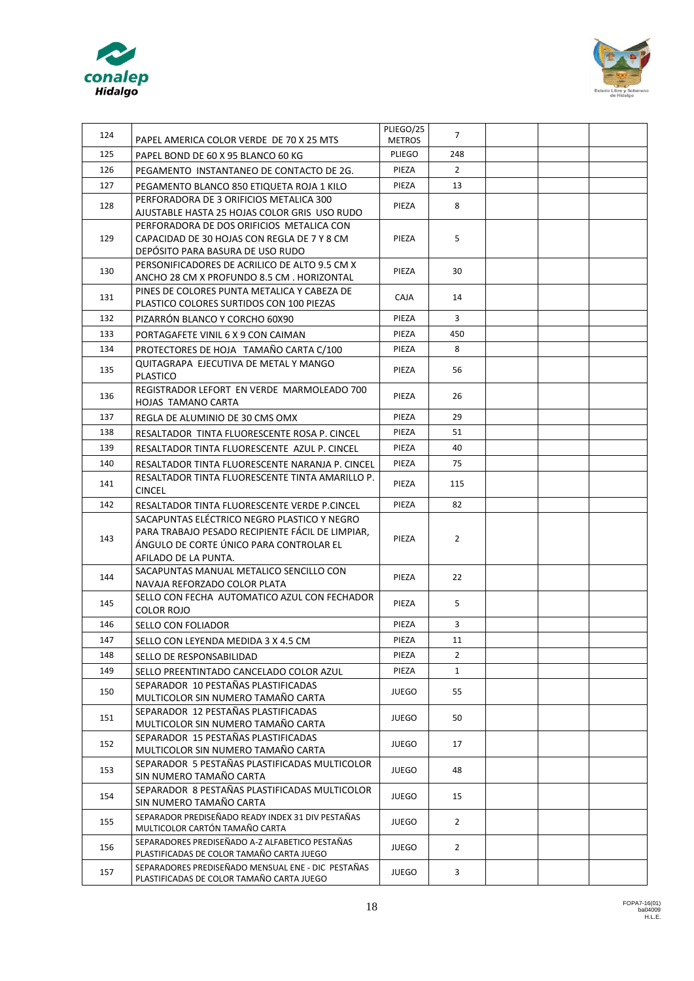



| 124 | PAPEL AMERICA COLOR VERDE DE 70 X 25 MTS                                                        | PLIEGO/25<br><b>METROS</b> | $\overline{7}$ |  |  |
|-----|-------------------------------------------------------------------------------------------------|----------------------------|----------------|--|--|
| 125 | PAPEL BOND DE 60 X 95 BLANCO 60 KG                                                              |                            | 248            |  |  |
| 126 | PEGAMENTO INSTANTANEO DE CONTACTO DE 2G.                                                        | <b>PLIEGO</b><br>PIEZA     | $\overline{2}$ |  |  |
| 127 | PEGAMENTO BLANCO 850 ETIQUETA ROJA 1 KILO                                                       | PIEZA                      | 13             |  |  |
|     | PERFORADORA DE 3 ORIFICIOS METALICA 300                                                         |                            |                |  |  |
| 128 | AJUSTABLE HASTA 25 HOJAS COLOR GRIS USO RUDO                                                    | PIEZA                      | 8              |  |  |
| 129 | PERFORADORA DE DOS ORIFICIOS METALICA CON<br>CAPACIDAD DE 30 HOJAS CON REGLA DE 7 Y 8 CM        | PIEZA                      | 5              |  |  |
|     | DEPÓSITO PARA BASURA DE USO RUDO                                                                |                            |                |  |  |
| 130 | PERSONIFICADORES DE ACRILICO DE ALTO 9.5 CM X<br>ANCHO 28 CM X PROFUNDO 8.5 CM. HORIZONTAL      | PIEZA                      | 30             |  |  |
| 131 | PINES DE COLORES PUNTA METALICA Y CABEZA DE<br>PLASTICO COLORES SURTIDOS CON 100 PIEZAS         | <b>CAJA</b>                | 14             |  |  |
| 132 | PIZARRÓN BLANCO Y CORCHO 60X90                                                                  | PIEZA                      | 3              |  |  |
| 133 | PORTAGAFETE VINIL 6 X 9 CON CAIMAN                                                              | PIEZA                      | 450            |  |  |
| 134 | PROTECTORES DE HOJA TAMAÑO CARTA C/100                                                          | PIEZA                      | 8              |  |  |
|     | <b>OUITAGRAPA EJECUTIVA DE METAL Y MANGO</b>                                                    |                            |                |  |  |
| 135 | <b>PLASTICO</b>                                                                                 | PIEZA                      | 56             |  |  |
| 136 | REGISTRADOR LEFORT EN VERDE MARMOLEADO 700<br>HOJAS TAMANO CARTA                                | PIEZA                      | 26             |  |  |
| 137 | REGLA DE ALUMINIO DE 30 CMS OMX                                                                 | PIEZA                      | 29             |  |  |
| 138 | RESALTADOR TINTA FLUORESCENTE ROSA P. CINCEL                                                    | PIEZA                      | 51             |  |  |
| 139 | RESALTADOR TINTA FLUORESCENTE AZUL P. CINCEL                                                    | PIEZA                      | 40             |  |  |
| 140 | RESALTADOR TINTA FLUORESCENTE NARANJA P. CINCEL                                                 | PIEZA                      | 75             |  |  |
| 141 | RESALTADOR TINTA FLUORESCENTE TINTA AMARILLO P.<br><b>CINCEL</b>                                | PIEZA                      | 115            |  |  |
| 142 | RESALTADOR TINTA FLUORESCENTE VERDE P.CINCEL                                                    | PIEZA                      | 82             |  |  |
|     | SACAPUNTAS ELÉCTRICO NEGRO PLASTICO Y NEGRO                                                     |                            |                |  |  |
| 143 | PARA TRABAJO PESADO RECIPIENTE FÁCIL DE LIMPIAR,                                                | PIEZA                      | $\overline{2}$ |  |  |
|     | ÁNGULO DE CORTE ÚNICO PARA CONTROLAR EL                                                         |                            |                |  |  |
|     | AFILADO DE LA PUNTA.                                                                            |                            |                |  |  |
| 144 | SACAPUNTAS MANUAL METALICO SENCILLO CON<br>NAVAJA REFORZADO COLOR PLATA                         | PIEZA                      | 22             |  |  |
| 145 | SELLO CON FECHA AUTOMATICO AZUL CON FECHADOR<br><b>COLOR ROJO</b>                               | PIEZA                      | 5              |  |  |
| 146 | SELLO CON FOLIADOR                                                                              | PIEZA                      | 3              |  |  |
| 147 | SELLO CON LEYENDA MEDIDA 3 X 4.5 CM                                                             | PIEZA                      | 11             |  |  |
| 148 | SELLO DE RESPONSABILIDAD                                                                        | PIEZA                      | $\overline{2}$ |  |  |
| 149 | SELLO PREENTINTADO CANCELADO COLOR AZUL                                                         | PIEZA                      | $\mathbf{1}$   |  |  |
| 150 | SEPARADOR 10 PESTAÑAS PLASTIFICADAS<br>MULTICOLOR SIN NUMERO TAMAÑO CARTA                       | <b>JUEGO</b>               | 55             |  |  |
| 151 | SEPARADOR 12 PESTAÑAS PLASTIFICADAS                                                             | <b>JUEGO</b>               | 50             |  |  |
|     | MULTICOLOR SIN NUMERO TAMAÑO CARTA<br>SEPARADOR 15 PESTAÑAS PLASTIFICADAS                       |                            |                |  |  |
| 152 | MULTICOLOR SIN NUMERO TAMAÑO CARTA                                                              | <b>JUEGO</b>               | 17             |  |  |
| 153 | SEPARADOR 5 PESTAÑAS PLASTIFICADAS MULTICOLOR<br>SIN NUMERO TAMAÑO CARTA                        | <b>JUEGO</b>               | 48             |  |  |
| 154 | SEPARADOR 8 PESTAÑAS PLASTIFICADAS MULTICOLOR<br>SIN NUMERO TAMAÑO CARTA                        | <b>JUEGO</b>               | 15             |  |  |
| 155 | SEPARADOR PREDISEÑADO READY INDEX 31 DIV PESTAÑAS<br>MULTICOLOR CARTÓN TAMAÑO CARTA             | <b>JUEGO</b>               | $\overline{2}$ |  |  |
| 156 | SEPARADORES PREDISEÑADO A-Z ALFABETICO PESTAÑAS                                                 | <b>JUEGO</b>               | $\overline{2}$ |  |  |
| 157 | PLASTIFICADAS DE COLOR TAMAÑO CARTA JUEGO<br>SEPARADORES PREDISEÑADO MENSUAL ENE - DIC PESTAÑAS | <b>JUEGO</b>               | 3              |  |  |
|     | PLASTIFICADAS DE COLOR TAMAÑO CARTA JUEGO                                                       |                            |                |  |  |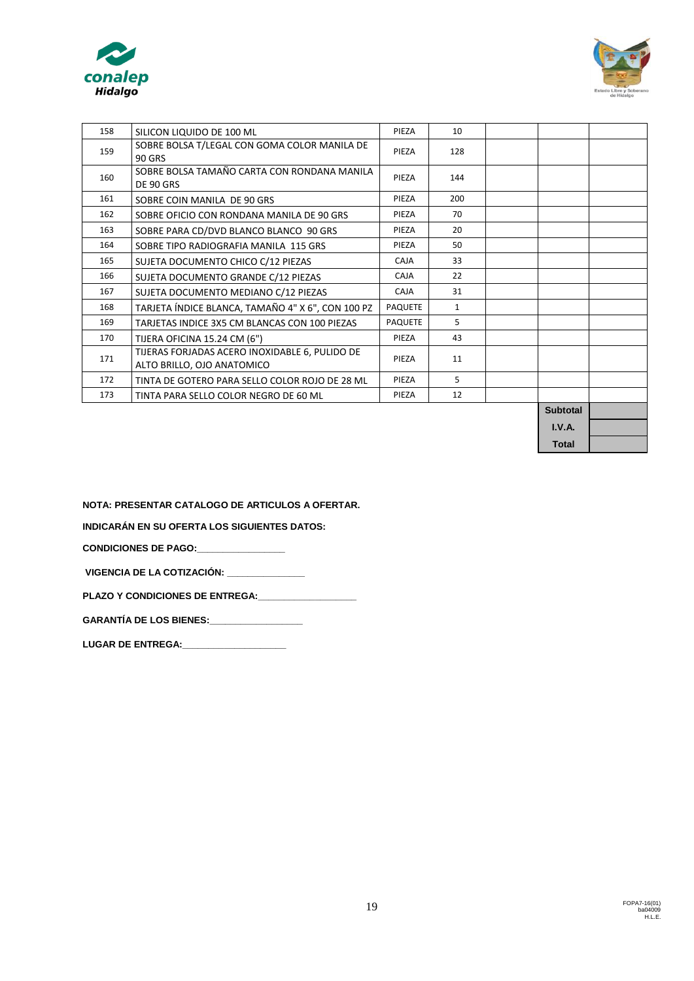| conalep<br><b>Hidalgo</b> |                              |
|---------------------------|------------------------------|
| 158                       | SILICON LIQUIDO DE 100 ML    |
| $1 - 0$                   | SOBRE BOLSA T/LEGAL CON GOMA |



| 158 | SILICON LIQUIDO DE 100 ML                                                    | PIEZA          | 10           |                 |  |
|-----|------------------------------------------------------------------------------|----------------|--------------|-----------------|--|
| 159 | SOBRE BOLSA T/LEGAL CON GOMA COLOR MANILA DE<br><b>90 GRS</b>                | PIEZA          | 128          |                 |  |
| 160 | SOBRE BOLSA TAMAÑO CARTA CON RONDANA MANILA<br>DE 90 GRS                     | PIEZA          | 144          |                 |  |
| 161 | SOBRE COIN MANILA DE 90 GRS                                                  | PIEZA          | 200          |                 |  |
| 162 | SOBRE OFICIO CON RONDANA MANILA DE 90 GRS                                    | PIEZA          | 70           |                 |  |
| 163 | SOBRE PARA CD/DVD BLANCO BLANCO 90 GRS                                       | PIEZA          | 20           |                 |  |
| 164 | SOBRE TIPO RADIOGRAFIA MANILA 115 GRS                                        | PIEZA          | 50           |                 |  |
| 165 | SUJETA DOCUMENTO CHICO C/12 PIEZAS                                           | CAJA           | 33           |                 |  |
| 166 | SUJETA DOCUMENTO GRANDE C/12 PIEZAS                                          | <b>CAJA</b>    | 22           |                 |  |
| 167 | SUJETA DOCUMENTO MEDIANO C/12 PIEZAS                                         | CAJA           | 31           |                 |  |
| 168 | TARJETA ÍNDICE BLANCA, TAMAÑO 4" X 6", CON 100 PZ                            | <b>PAQUETE</b> | $\mathbf{1}$ |                 |  |
| 169 | TARJETAS INDICE 3X5 CM BLANCAS CON 100 PIEZAS                                | <b>PAQUETE</b> | 5            |                 |  |
| 170 | TIJERA OFICINA 15.24 CM (6")                                                 | PIEZA          | 43           |                 |  |
| 171 | TIJERAS FORJADAS ACERO INOXIDABLE 6, PULIDO DE<br>ALTO BRILLO, OJO ANATOMICO | PIEZA          | 11           |                 |  |
| 172 | TINTA DE GOTERO PARA SELLO COLOR ROJO DE 28 ML                               | PIEZA          | 5            |                 |  |
| 173 | TINTA PARA SELLO COLOR NEGRO DE 60 ML                                        | PIEZA          | 12           |                 |  |
|     |                                                                              |                |              | <b>Subtotal</b> |  |

**I.V.A. Total**

**NOTA: PRESENTAR CATALOGO DE ARTICULOS A OFERTAR.** 

**INDICARÁN EN SU OFERTA LOS SIGUIENTES DATOS:**

**CONDICIONES DE PAGO:\_\_\_\_\_\_\_\_\_\_\_\_\_\_\_\_\_** 

**VIGENCIA DE LA COTIZACIÓN: \_\_\_\_\_\_\_\_\_\_\_\_\_\_\_**

PLAZO Y CONDICIONES DE ENTREGA: **\_\_\_\_\_\_\_\_\_\_\_** 

**GARANTÍA DE LOS BIENES:\_\_\_\_\_\_\_\_\_\_\_\_\_\_\_\_\_\_**

**LUGAR DE ENTREGA:\_\_\_\_\_\_\_\_\_\_\_\_\_\_\_\_\_\_\_\_**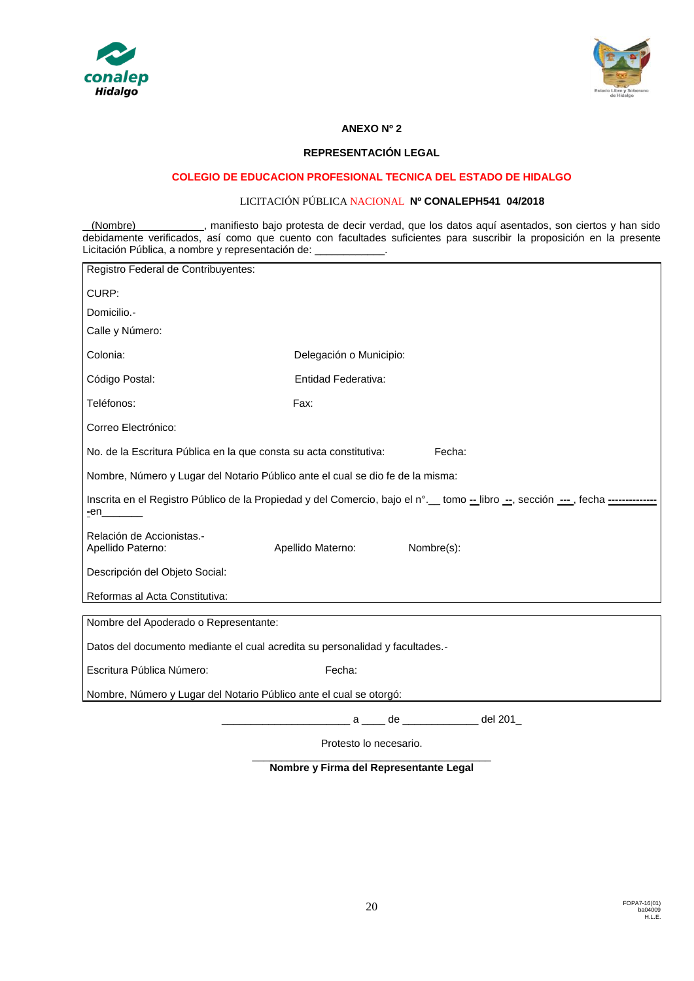



## **ANEXO Nº 2**

### **REPRESENTACIÓN LEGAL**

## **COLEGIO DE EDUCACION PROFESIONAL TECNICA DEL ESTADO DE HIDALGO**

## LICITACIÓN PÚBLICA NACIONAL **Nº CONALEPH541 04/2018**

(Nombre) , manifiesto bajo protesta de decir verdad, que los datos aquí asentados, son ciertos y han sido debidamente verificados, así como que cuento con facultades suficientes para suscribir la proposición en la presente Licitación Pública, a nombre y representación de:

| Registro Federal de Contribuyentes:                                            |                         |                                                                                                                                 |  |  |  |  |
|--------------------------------------------------------------------------------|-------------------------|---------------------------------------------------------------------------------------------------------------------------------|--|--|--|--|
| CURP:                                                                          |                         |                                                                                                                                 |  |  |  |  |
| Domicilio.-                                                                    |                         |                                                                                                                                 |  |  |  |  |
| Calle y Número:                                                                |                         |                                                                                                                                 |  |  |  |  |
| Colonia:                                                                       | Delegación o Municipio: |                                                                                                                                 |  |  |  |  |
| Código Postal:                                                                 | Entidad Federativa:     |                                                                                                                                 |  |  |  |  |
| Teléfonos:                                                                     | Fax:                    |                                                                                                                                 |  |  |  |  |
| Correo Electrónico:                                                            |                         |                                                                                                                                 |  |  |  |  |
| No. de la Escritura Pública en la que consta su acta constitutiva:             |                         | Fecha:                                                                                                                          |  |  |  |  |
| Nombre, Número y Lugar del Notario Público ante el cual se dio fe de la misma: |                         |                                                                                                                                 |  |  |  |  |
| $en$ <sub>-</sub>                                                              |                         | Inscrita en el Registro Público de la Propiedad y del Comercio, bajo el n°. tomo -- libro --, sección ----, fecha ------------- |  |  |  |  |
| Relación de Accionistas.-<br>Apellido Paterno:                                 | Apellido Materno:       | Nombre(s):                                                                                                                      |  |  |  |  |
| Descripción del Objeto Social:                                                 |                         |                                                                                                                                 |  |  |  |  |
| Reformas al Acta Constitutiva:                                                 |                         |                                                                                                                                 |  |  |  |  |
| Nombre del Apoderado o Representante:                                          |                         |                                                                                                                                 |  |  |  |  |
| Datos del documento mediante el cual acredita su personalidad y facultades.-   |                         |                                                                                                                                 |  |  |  |  |
| Escritura Pública Número:                                                      | Fecha:                  |                                                                                                                                 |  |  |  |  |
| Nombre, Número y Lugar del Notario Público ante el cual se otorgó:             |                         |                                                                                                                                 |  |  |  |  |
|                                                                                |                         | a de de del 201                                                                                                                 |  |  |  |  |

Protesto lo necesario.

\_\_\_\_\_\_\_\_\_\_\_\_\_\_\_\_\_\_\_\_\_\_\_\_\_\_\_\_\_\_\_\_\_\_\_\_\_\_\_\_\_ **Nombre y Firma del Representante Legal**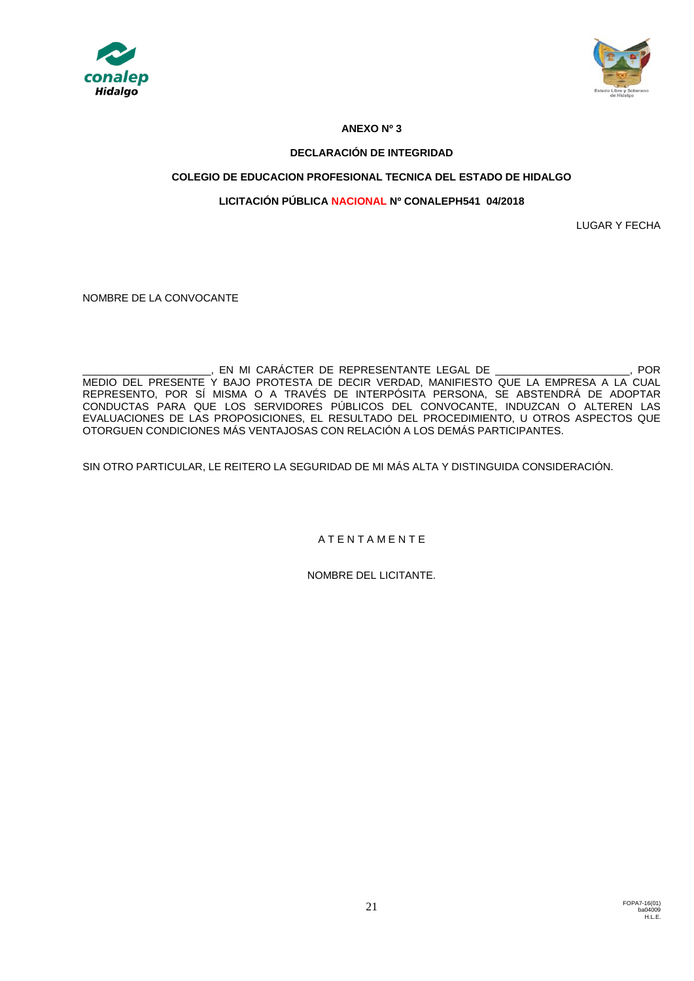



## **ANEXO Nº 3**

## **DECLARACIÓN DE INTEGRIDAD**

## **COLEGIO DE EDUCACION PROFESIONAL TECNICA DEL ESTADO DE HIDALGO**

## **LICITACIÓN PÚBLICA NACIONAL Nº CONALEPH541 04/2018**

LUGAR Y FECHA

NOMBRE DE LA CONVOCANTE

\_\_\_\_\_\_\_\_\_\_\_\_\_\_\_\_\_\_\_\_\_\_, EN MI CARÁCTER DE REPRESENTANTE LEGAL DE \_\_\_\_\_\_\_\_\_\_\_\_\_\_\_\_\_\_\_\_\_\_\_, POR MEDIO DEL PRESENTE Y BAJO PROTESTA DE DECIR VERDAD, MANIFIESTO QUE LA EMPRESA A LA CUAL REPRESENTO, POR SÍ MISMA O A TRAVÉS DE INTERPÓSITA PERSONA, SE ABSTENDRÁ DE ADOPTAR CONDUCTAS PARA QUE LOS SERVIDORES PÚBLICOS DEL CONVOCANTE, INDUZCAN O ALTEREN LAS EVALUACIONES DE LAS PROPOSICIONES, EL RESULTADO DEL PROCEDIMIENTO, U OTROS ASPECTOS QUE OTORGUEN CONDICIONES MÁS VENTAJOSAS CON RELACIÓN A LOS DEMÁS PARTICIPANTES.

SIN OTRO PARTICULAR, LE REITERO LA SEGURIDAD DE MI MÁS ALTA Y DISTINGUIDA CONSIDERACIÓN.

A T E N T A M E N T E

NOMBRE DEL LICITANTE.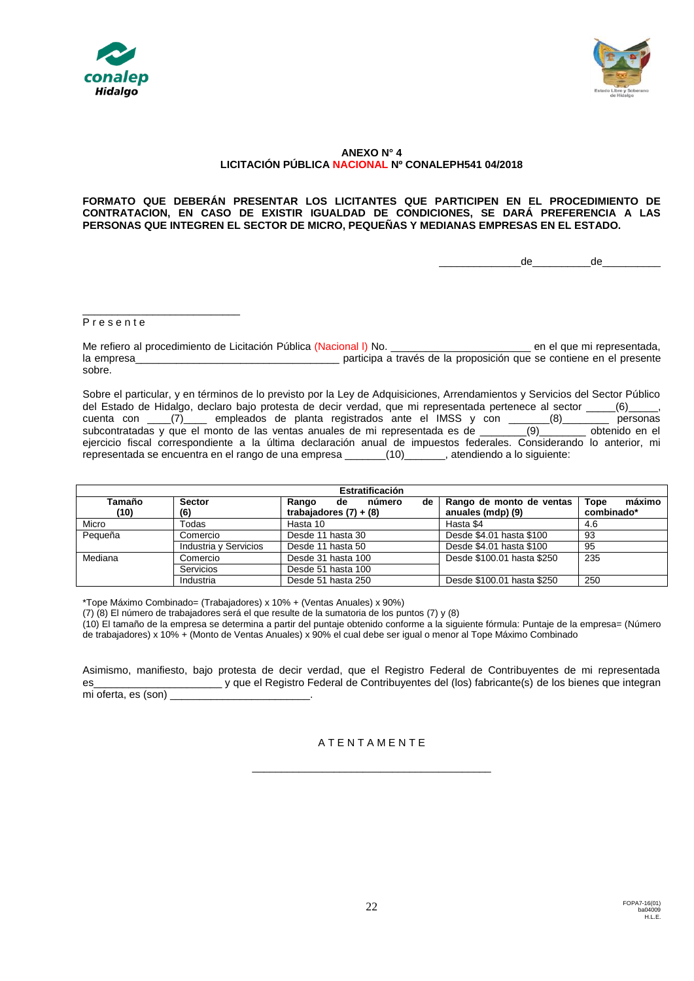



### **ANEXO N° 4 LICITACIÓN PÚBLICA NACIONAL Nº CONALEPH541 04/2018**

**FORMATO QUE DEBERÁN PRESENTAR LOS LICITANTES QUE PARTICIPEN EN EL PROCEDIMIENTO DE CONTRATACION, EN CASO DE EXISTIR IGUALDAD DE CONDICIONES, SE DARÁ PREFERENCIA A LAS PERSONAS QUE INTEGREN EL SECTOR DE MICRO, PEQUEÑAS Y MEDIANAS EMPRESAS EN EL ESTADO.**

\_\_\_\_\_\_\_\_\_\_\_\_\_\_de\_\_\_\_\_\_\_\_\_\_de\_\_\_\_\_\_\_\_\_\_

#### P r e s e n t e

\_\_\_\_\_\_\_\_\_\_\_\_\_\_\_\_\_\_\_\_\_\_\_\_\_\_\_

Me refiero al procedimiento de Licitación Pública (Nacional I) No. \_\_\_\_\_\_\_\_\_\_\_\_\_\_\_\_\_\_\_\_\_\_\_\_\_\_\_\_\_\_\_\_\_ en el que mi representada, la empresa<br>a través de la proposición que se contiene en el presente sobre.

Sobre el particular, y en términos de lo previsto por la Ley de Adquisiciones, Arrendamientos y Servicios del Sector Público del Estado de Hidalgo, declaro bajo protesta de decir verdad, que mi representada pertenece al sector \_\_\_\_\_(6)<br>cuenta con (7) empleados de planta registrados ante el IMSS y con (8) en essonas cuenta con  $\underline{\hspace{1cm}}(7)$  empleados de planta registrados ante el IMSS y con  $\underline{\hspace{1cm}}(8)$ <br>subcontratadas y que el monto de las ventas anuales de mi representada es de  $(9)$ subcontratadas y que el monto de las ventas anuales de mi representada es de \_\_\_\_\_\_\_\_(9)\_\_\_\_\_\_\_ obtenido en el ejercicio fiscal correspondiente a la última declaración anual de impuestos federales. Considerando lo anterior, mi representada se encuentra en el rango de una empresa \_\_\_\_\_\_\_(10)\_\_\_\_\_\_\_, atendiendo a lo siguiente:

| Estratificación |                       |                             |                            |                |  |  |
|-----------------|-----------------------|-----------------------------|----------------------------|----------------|--|--|
| Tamaño          | <b>Sector</b>         | número<br>Rango<br>de<br>de | Rango de monto de ventas   | máximo<br>Tope |  |  |
| (10)            | (6)                   | trabajadores $(7) + (8)$    | anuales (mdp) (9)          | combinado*     |  |  |
| Micro           | Todas                 | Hasta 10                    | Hasta \$4                  | 4.6            |  |  |
| Pequeña         | Comercio              | Desde 11 hasta 30           | Desde \$4.01 hasta \$100   | 93             |  |  |
|                 | Industria y Servicios | Desde 11 hasta 50           | Desde \$4.01 hasta \$100   | 95             |  |  |
| Mediana         | Comercio              | Desde 31 hasta 100          | Desde \$100.01 hasta \$250 | 235            |  |  |
|                 | Servicios             | Desde 51 hasta 100          |                            |                |  |  |
|                 | Industria             | Desde 51 hasta 250          | Desde \$100.01 hasta \$250 | 250            |  |  |

\*Tope Máximo Combinado= (Trabajadores) x 10% + (Ventas Anuales) x 90%)

(7) (8) El número de trabajadores será el que resulte de la sumatoria de los puntos (7) y (8)

(10) El tamaño de la empresa se determina a partir del puntaje obtenido conforme a la siguiente fórmula: Puntaje de la empresa= (Número de trabajadores) x 10% + (Monto de Ventas Anuales) x 90% el cual debe ser igual o menor al Tope Máximo Combinado

Asimismo, manifiesto, bajo protesta de decir verdad, que el Registro Federal de Contribuyentes de mi representada es<br>
y que el Registro Federal de Contribuyentes del (los) fabricante(s) de los bienes que integran mi oferta, es (son)

#### A T E N T A M E N T E

\_\_\_\_\_\_\_\_\_\_\_\_\_\_\_\_\_\_\_\_\_\_\_\_\_\_\_\_\_\_\_\_\_\_\_\_\_\_\_\_\_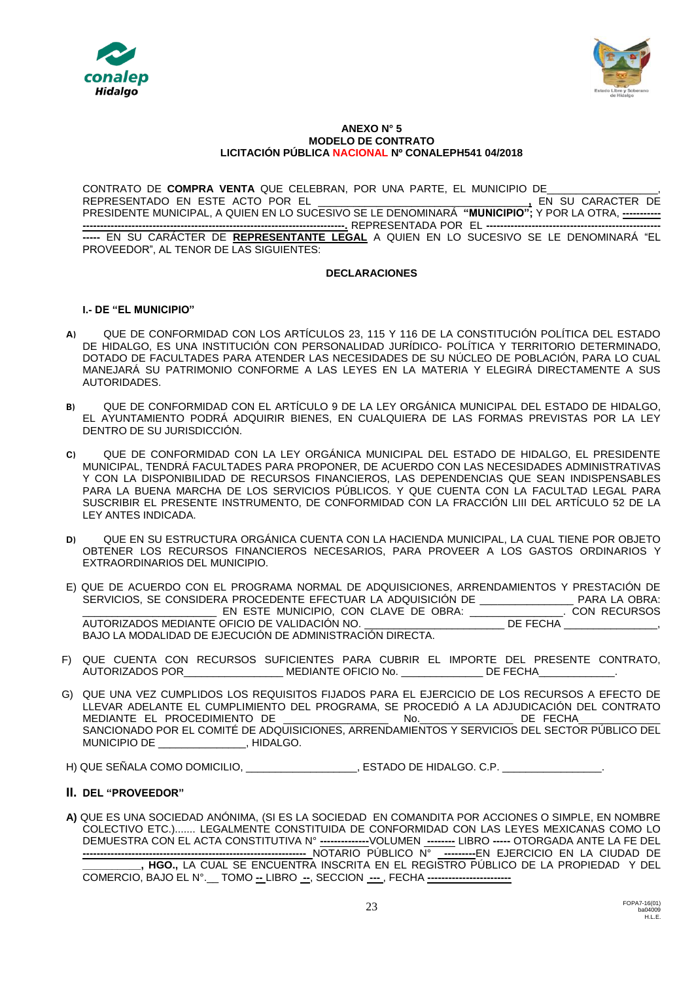



#### **ANEXO N° 5 MODELO DE CONTRATO LICITACIÓN PÚBLICA NACIONAL Nº CONALEPH541 04/2018**

CONTRATO DE **COMPRA VENTA** QUE CELEBRAN, POR UNA PARTE, EL MUNICIPIO DE\_\_\_\_\_\_\_\_\_\_\_\_\_\_\_\_\_\_\_, REPRESENTADO EN ESTE ACTO POR EL \_\_\_\_\_\_\_\_\_\_\_\_\_\_\_\_\_\_\_\_\_\_\_\_\_\_\_\_\_\_\_\_\_\_\_\_**,** EN SU CARACTER DE PRESIDENTE MUNICIPAL, A QUIEN EN LO SUCESIVO SE LE DENOMINARÁ **"MUNICIPIO";** Y POR LA OTRA, **----------- ---------------------------------------------------------------------------.** REPRESENTADA POR EL **--------------------------------------------------**

**-----** EN SU CARÁCTER DE **REPRESENTANTE LEGAL** A QUIEN EN LO SUCESIVO SE LE DENOMINARÁ "EL PROVEEDOR", AL TENOR DE LAS SIGUIENTES:

### **DECLARACIONES**

## **I.- DE "EL MUNICIPIO"**

- **A)** QUE DE CONFORMIDAD CON LOS ARTÍCULOS 23, 115 Y 116 DE LA CONSTITUCIÓN POLÍTICA DEL ESTADO DE HIDALGO, ES UNA INSTITUCIÓN CON PERSONALIDAD JURÍDICO- POLÍTICA Y TERRITORIO DETERMINADO, DOTADO DE FACULTADES PARA ATENDER LAS NECESIDADES DE SU NÚCLEO DE POBLACIÓN, PARA LO CUAL MANEJARÁ SU PATRIMONIO CONFORME A LAS LEYES EN LA MATERIA Y ELEGIRÁ DIRECTAMENTE A SUS AUTORIDADES.
- **B)** QUE DE CONFORMIDAD CON EL ARTÍCULO 9 DE LA LEY ORGÁNICA MUNICIPAL DEL ESTADO DE HIDALGO, EL AYUNTAMIENTO PODRÁ ADQUIRIR BIENES, EN CUALQUIERA DE LAS FORMAS PREVISTAS POR LA LEY DENTRO DE SU JURISDICCIÓN.
- **C)** QUE DE CONFORMIDAD CON LA LEY ORGÁNICA MUNICIPAL DEL ESTADO DE HIDALGO, EL PRESIDENTE MUNICIPAL, TENDRÁ FACULTADES PARA PROPONER, DE ACUERDO CON LAS NECESIDADES ADMINISTRATIVAS Y CON LA DISPONIBILIDAD DE RECURSOS FINANCIEROS, LAS DEPENDENCIAS QUE SEAN INDISPENSABLES PARA LA BUENA MARCHA DE LOS SERVICIOS PÚBLICOS. Y QUE CUENTA CON LA FACULTAD LEGAL PARA SUSCRIBIR EL PRESENTE INSTRUMENTO, DE CONFORMIDAD CON LA FRACCIÓN LIII DEL ARTÍCULO 52 DE LA LEY ANTES INDICADA.
- **D)** QUE EN SU ESTRUCTURA ORGÁNICA CUENTA CON LA HACIENDA MUNICIPAL, LA CUAL TIENE POR OBJETO OBTENER LOS RECURSOS FINANCIEROS NECESARIOS, PARA PROVEER A LOS GASTOS ORDINARIOS Y EXTRAORDINARIOS DEL MUNICIPIO.
- E) QUE DE ACUERDO CON EL PROGRAMA NORMAL DE ADQUISICIONES, ARRENDAMIENTOS Y PRESTACIÓN DE SERVICIOS, SE CONSIDERA PROCEDENTE EFECTUAR LA ADQUISICIÓN DE \_\_\_\_\_\_\_\_\_\_\_\_\_\_\_\_ PARA LA OBRA: \_\_\_\_\_\_\_\_\_\_\_\_\_\_\_\_\_\_\_\_\_\_\_ EN ESTE MUNICIPIO, CON CLAVE DE OBRA: \_\_\_\_\_\_\_\_\_\_\_\_\_\_\_\_. CON RECURSOS AUTORIZADOS MEDIANTE OFICIO DE VALIDACIÓN NO. BAJO LA MODALIDAD DE EJECUCIÓN DE ADMINISTRACIÓN DIRECTA.
- F) QUE CUENTA CON RECURSOS SUFICIENTES PARA CUBRIR EL IMPORTE DEL PRESENTE CONTRATO, AUTORIZADOS POR\_\_\_\_\_\_\_\_\_\_\_\_\_\_\_\_\_\_\_\_\_MEDIANTE OFICIO No. \_\_\_\_\_\_\_\_\_\_\_\_\_\_\_DE FECHA\_
- G) QUE UNA VEZ CUMPLIDOS LOS REQUISITOS FIJADOS PARA EL EJERCICIO DE LOS RECURSOS A EFECTO DE LLEVAR ADELANTE EL CUMPLIMIENTO DEL PROGRAMA, SE PROCEDIÓ A LA ADJUDICACIÓN DEL CONTRATO MEDIANTE EL PROCEDIMIENTO DE  $\qquad \qquad N$ o.  $\qquad \qquad$ DE FECHA SANCIONADO POR EL COMITÉ DE ADQUISICIONES, ARRENDAMIENTOS Y SERVICIOS DEL SECTOR PÚBLICO DEL MUNICIPIO DE \_\_\_\_\_\_\_\_\_\_\_\_\_\_\_, HIDALGO.

H) QUE SEÑALA COMO DOMICILIO, \_\_\_\_\_\_\_\_\_\_\_\_\_\_\_\_\_\_\_, ESTADO DE HIDALGO. C.P. \_\_

### **II. DEL "PROVEEDOR"**

**A)** QUE ES UNA SOCIEDAD ANÓNIMA, (SI ES LA SOCIEDAD EN COMANDITA POR ACCIONES O SIMPLE, EN NOMBRE COLECTIVO ETC.)....... LEGALMENTE CONSTITUIDA DE CONFORMIDAD CON LAS LEYES MEXICANAS COMO LO DEMUESTRA CON EL ACTA CONSTITUTIVA N° **--------------**VOLUMEN **--------** LIBRO **-----** OTORGADA ANTE LA FE DEL **----------------------------------------------------------------** NOTARIO PÚBLICO N° **---------**EN EJERCICIO EN LA CIUDAD DE **\_\_\_\_\_\_\_\_\_\_, HGO.,** LA CUAL SE ENCUENTRA INSCRITA EN EL REGISTRO PÚBLICO DE LA PROPIEDAD Y DEL COMERCIO, BAJO EL N°.\_\_ TOMO **--** LIBRO **--**, SECCION **---** , FECHA **------------------------**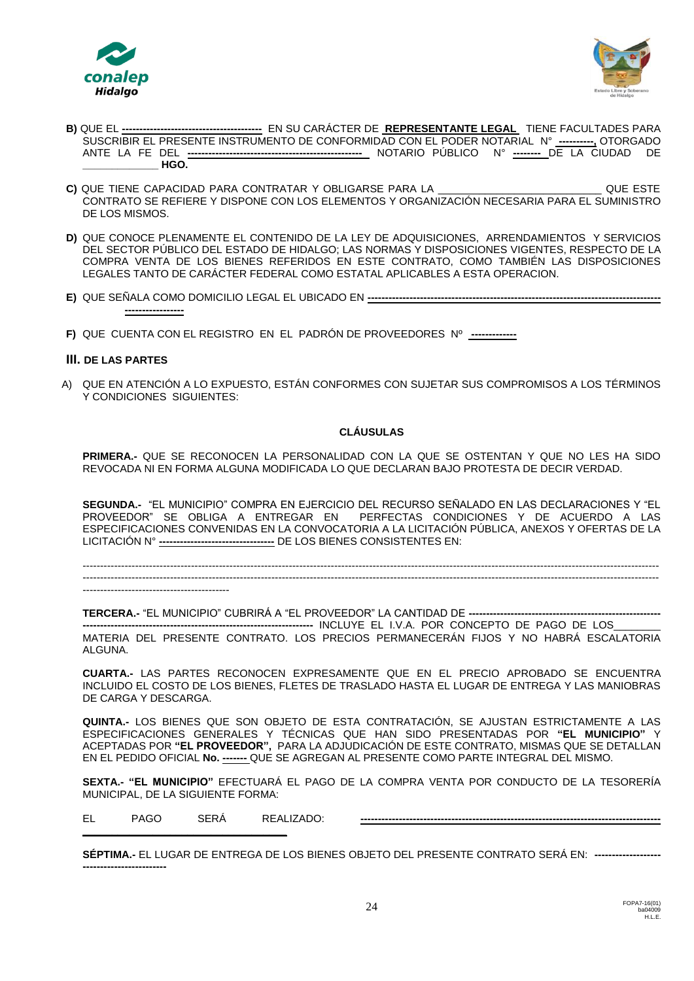



- **B)** QUE EL **----------------------------------------** EN SU CARÁCTER DE **REPRESENTANTE LEGAL** TIENE FACULTADES PARA SUSCRIBIR EL PRESENTE INSTRUMENTO DE CONFORMIDAD CON EL PODER NOTARIAL N° **----------,** OTORGADO ANTE LA FE DEL **--------------------------------------------------** NOTARIO PÚBLICO N° **--------** DE LA CIUDAD DE **\_\_\_\_\_\_\_\_\_\_\_\_\_ HGO.**
- **C)** QUE TIENE CAPACIDAD PARA CONTRATAR Y OBLIGARSE PARA LA \_\_\_\_\_\_\_\_\_\_\_\_\_\_\_\_\_\_\_\_\_\_\_\_\_\_\_\_ QUE ESTE CONTRATO SE REFIERE Y DISPONE CON LOS ELEMENTOS Y ORGANIZACIÓN NECESARIA PARA EL SUMINISTRO DE LOS MISMOS.
- **D)** QUE CONOCE PLENAMENTE EL CONTENIDO DE LA LEY DE ADQUISICIONES, ARRENDAMIENTOS Y SERVICIOS DEL SECTOR PÚBLICO DEL ESTADO DE HIDALGO; LAS NORMAS Y DISPOSICIONES VIGENTES, RESPECTO DE LA COMPRA VENTA DE LOS BIENES REFERIDOS EN ESTE CONTRATO, COMO TAMBIÉN LAS DISPOSICIONES LEGALES TANTO DE CARÁCTER FEDERAL COMO ESTATAL APLICABLES A ESTA OPERACION.
- **E)** QUE SEÑALA COMO DOMICILIO LEGAL EL UBICADO EN **------------------------------------------------------------------------------------ -----------------**
- **F)** QUE CUENTA CON EL REGISTRO EN EL PADRÓN DE PROVEEDORES Nº **-------------**

### **III. DE LAS PARTES**

A) QUE EN ATENCIÓN A LO EXPUESTO, ESTÁN CONFORMES CON SUJETAR SUS COMPROMISOS A LOS TÉRMINOS Y CONDICIONES SIGUIENTES:

#### **CLÁUSULAS**

**PRIMERA.-** QUE SE RECONOCEN LA PERSONALIDAD CON LA QUE SE OSTENTAN Y QUE NO LES HA SIDO REVOCADA NI EN FORMA ALGUNA MODIFICADA LO QUE DECLARAN BAJO PROTESTA DE DECIR VERDAD.

**SEGUNDA.-** "EL MUNICIPIO" COMPRA EN EJERCICIO DEL RECURSO SEÑALADO EN LAS DECLARACIONES Y "EL PROVEEDOR" SE OBLIGA A ENTREGAR EN PERFECTAS CONDICIONES Y DE ACUERDO A LAS ESPECIFICACIONES CONVENIDAS EN LA CONVOCATORIA A LA LICITACIÓN PÚBLICA, ANEXOS Y OFERTAS DE LA LICITACIÓN N° **---------------------------------** DE LOS BIENES CONSISTENTES EN:

---------------------------------------------------------------------------------------------------------------------------------------------------------------------  $-1\leq i\leq n-1\leq n-1\leq n-1\leq n-1\leq n-1\leq n-1\leq n-1\leq n-1\leq n-1\leq n-1\leq n-1\leq n-1\leq n-1\leq n-1\leq n-1\leq n-1\leq n-1\leq n-1\leq n-1\leq n-1\leq n-1\leq n-1\leq n-1\leq n-1\leq n-1\leq n-1\leq n-1\leq n-1\leq n-1\leq n-1\leq n-1\leq n-1\leq n-1\leq n-1\leq n-1\leq n$ 

------------------------------------------

**TERCERA.-** "EL MUNICIPIO" CUBRIRÁ A "EL PROVEEDOR" LA CANTIDAD DE **-------------------------------------------------------**

**------------------------------------------------------------------** INCLUYE EL I.V.A. POR CONCEPTO DE PAGO DE LOS\_\_\_\_\_\_\_\_ MATERIA DEL PRESENTE CONTRATO. LOS PRECIOS PERMANECERÁN FIJOS Y NO HABRÁ ESCALATORIA ALGUNA.

**CUARTA.-** LAS PARTES RECONOCEN EXPRESAMENTE QUE EN EL PRECIO APROBADO SE ENCUENTRA INCLUIDO EL COSTO DE LOS BIENES, FLETES DE TRASLADO HASTA EL LUGAR DE ENTREGA Y LAS MANIOBRAS DE CARGA Y DESCARGA.

**QUINTA.-** LOS BIENES QUE SON OBJETO DE ESTA CONTRATACIÓN, SE AJUSTAN ESTRICTAMENTE A LAS ESPECIFICACIONES GENERALES Y TÉCNICAS QUE HAN SIDO PRESENTADAS POR **"EL MUNICIPIO"** Y ACEPTADAS POR **"EL PROVEEDOR",** PARA LA ADJUDICACIÓN DE ESTE CONTRATO, MISMAS QUE SE DETALLAN EN EL PEDIDO OFICIAL **No. -------** QUE SE AGREGAN AL PRESENTE COMO PARTE INTEGRAL DEL MISMO.

**SEXTA.- "EL MUNICIPIO"** EFECTUARÁ EL PAGO DE LA COMPRA VENTA POR CONDUCTO DE LA TESORERÍA MUNICIPAL, DE LA SIGUIENTE FORMA:

**\_\_\_\_\_\_\_\_\_\_\_\_\_\_\_\_\_\_\_\_\_\_\_\_\_\_\_\_\_\_\_\_\_\_\_**

EL PAGO SERÁ REALIZADO: **--------------------------------------------------------------------------------------**

| <b>SEPTIMA.-</b> EL LUGAR DE ENTREGA DE LOS BIENES OBJETO DEL PRESENTE CONTRATO SERÁ EN: ------------------ |  |
|-------------------------------------------------------------------------------------------------------------|--|
| -------------------------                                                                                   |  |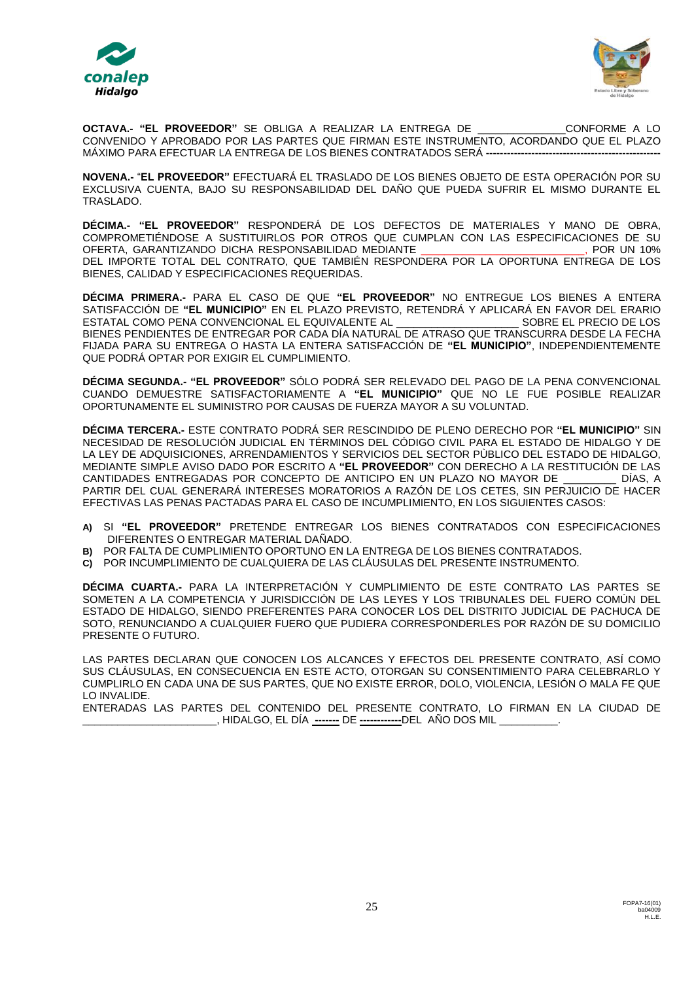



**OCTAVA.- "EL PROVEEDOR"** SE OBLIGA A REALIZAR LA ENTREGA DE \_\_\_\_\_\_\_\_\_\_\_\_\_\_\_CONFORME A LO CONVENIDO Y APROBADO POR LAS PARTES QUE FIRMAN ESTE INSTRUMENTO, ACORDANDO QUE EL PLAZO MÁXIMO PARA EFECTUAR LA ENTREGA DE LOS BIENES CONTRATADOS SERÁ **--------------------------------------------------**

**NOVENA.-** "**EL PROVEEDOR"** EFECTUARÁ EL TRASLADO DE LOS BIENES OBJETO DE ESTA OPERACIÓN POR SU EXCLUSIVA CUENTA, BAJO SU RESPONSABILIDAD DEL DAÑO QUE PUEDA SUFRIR EL MISMO DURANTE EL TRASLADO.

**DÉCIMA.- "EL PROVEEDOR"** RESPONDERÁ DE LOS DEFECTOS DE MATERIALES Y MANO DE OBRA, COMPROMETIÉNDOSE A SUSTITUIRLOS POR OTROS QUE CUMPLAN CON LAS ESPECIFICACIONES DE SU<br>CORERTA GARANTIZANDO DICHA RESPONSABILIDAD MEDIANTE OFERTA, GARANTIZANDO DICHA RESPONSABILIDAD MEDIANTE DEL IMPORTE TOTAL DEL CONTRATO, QUE TAMBIÉN RESPONDERA POR LA OPORTUNA ENTREGA DE LOS BIENES, CALIDAD Y ESPECIFICACIONES REQUERIDAS.

**DÉCIMA PRIMERA.-** PARA EL CASO DE QUE **"EL PROVEEDOR"** NO ENTREGUE LOS BIENES A ENTERA SATISFACCIÓN DE **"EL MUNICIPIO"** EN EL PLAZO PREVISTO, RETENDRÁ Y APLICARÁ EN FAVOR DEL ERARIO ESTATAL COMO PENA CONVENCIONAL EL EQUIVALENTE AL BIENES PENDIENTES DE ENTREGAR POR CADA DÍA NATURAL DE ATRASO QUE TRANSCURRA DESDE LA FECHA FIJADA PARA SU ENTREGA O HASTA LA ENTERA SATISFACCIÓN DE **"EL MUNICIPIO"**, INDEPENDIENTEMENTE QUE PODRÁ OPTAR POR EXIGIR EL CUMPLIMIENTO.

**DÉCIMA SEGUNDA.- "EL PROVEEDOR"** SÓLO PODRÁ SER RELEVADO DEL PAGO DE LA PENA CONVENCIONAL CUANDO DEMUESTRE SATISFACTORIAMENTE A **"EL MUNICIPIO"** QUE NO LE FUE POSIBLE REALIZAR OPORTUNAMENTE EL SUMINISTRO POR CAUSAS DE FUERZA MAYOR A SU VOLUNTAD.

**DÉCIMA TERCERA.-** ESTE CONTRATO PODRÁ SER RESCINDIDO DE PLENO DERECHO POR **"EL MUNICIPIO"** SIN NECESIDAD DE RESOLUCIÓN JUDICIAL EN TÉRMINOS DEL CÓDIGO CIVIL PARA EL ESTADO DE HIDALGO Y DE LA LEY DE ADQUISICIONES, ARRENDAMIENTOS Y SERVICIOS DEL SECTOR PÙBLICO DEL ESTADO DE HIDALGO, MEDIANTE SIMPLE AVISO DADO POR ESCRITO A **"EL PROVEEDOR"** CON DERECHO A LA RESTITUCIÓN DE LAS CANTIDADES ENTREGADAS POR CONCEPTO DE ANTICIPO EN UN PLAZO NO MAYOR DE \_\_\_\_\_\_\_\_\_ DÍAS, A PARTIR DEL CUAL GENERARÁ INTERESES MORATORIOS A RAZÓN DE LOS CETES, SIN PERJUICIO DE HACER EFECTIVAS LAS PENAS PACTADAS PARA EL CASO DE INCUMPLIMIENTO, EN LOS SIGUIENTES CASOS:

- **A)** SI **"EL PROVEEDOR"** PRETENDE ENTREGAR LOS BIENES CONTRATADOS CON ESPECIFICACIONES DIFERENTES O ENTREGAR MATERIAL DAÑADO.
- **B)** POR FALTA DE CUMPLIMIENTO OPORTUNO EN LA ENTREGA DE LOS BIENES CONTRATADOS.
- **C)** POR INCUMPLIMIENTO DE CUALQUIERA DE LAS CLÁUSULAS DEL PRESENTE INSTRUMENTO.

**DÉCIMA CUARTA.-** PARA LA INTERPRETACIÓN Y CUMPLIMIENTO DE ESTE CONTRATO LAS PARTES SE SOMETEN A LA COMPETENCIA Y JURISDICCIÓN DE LAS LEYES Y LOS TRIBUNALES DEL FUERO COMÚN DEL ESTADO DE HIDALGO, SIENDO PREFERENTES PARA CONOCER LOS DEL DISTRITO JUDICIAL DE PACHUCA DE SOTO, RENUNCIANDO A CUALQUIER FUERO QUE PUDIERA CORRESPONDERLES POR RAZÓN DE SU DOMICILIO PRESENTE O FUTURO.

LAS PARTES DECLARAN QUE CONOCEN LOS ALCANCES Y EFECTOS DEL PRESENTE CONTRATO, ASÍ COMO SUS CLÁUSULAS, EN CONSECUENCIA EN ESTE ACTO, OTORGAN SU CONSENTIMIENTO PARA CELEBRARLO Y CUMPLIRLO EN CADA UNA DE SUS PARTES, QUE NO EXISTE ERROR, DOLO, VIOLENCIA, LESIÓN O MALA FE QUE LO INVALIDE.

ENTERADAS LAS PARTES DEL CONTENIDO DEL PRESENTE CONTRATO, LO FIRMAN EN LA CIUDAD DE \_\_\_\_\_\_\_\_\_\_\_\_\_\_\_\_\_\_\_\_\_\_\_, HIDALGO, EL DÍA **-------** DE **------------**DEL AÑO DOS MIL \_\_\_\_\_\_\_\_\_\_.